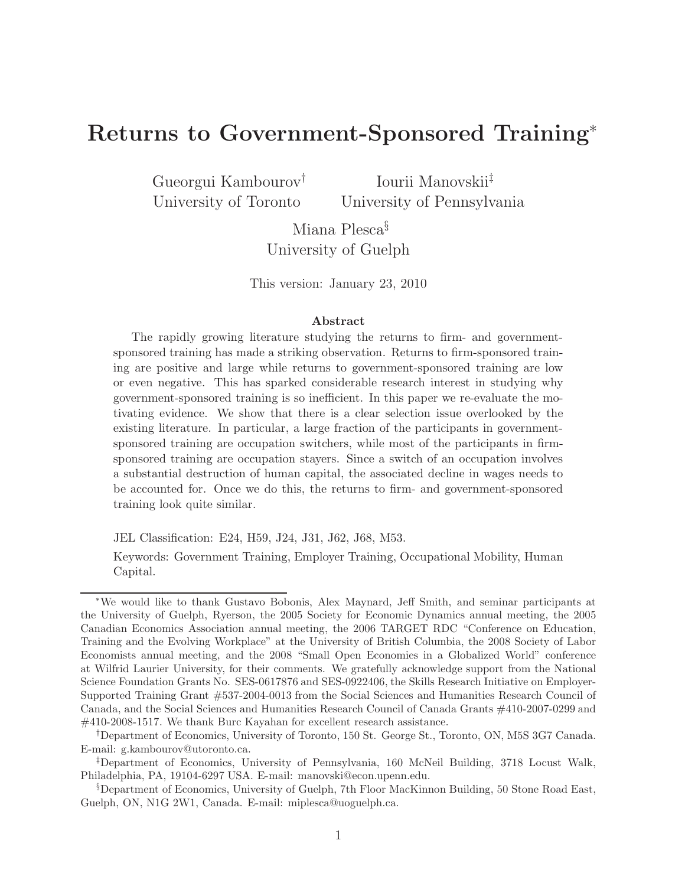# Returns to Government-Sponsored Training<sup>∗</sup>

Gueorgui Kambourov† University of Toronto

Iourii Manovskii‡ University of Pennsylvania

Miana Plesca§ University of Guelph

This version: January 23, 2010

#### Abstract

The rapidly growing literature studying the returns to firm- and governmentsponsored training has made a striking observation. Returns to firm-sponsored training are positive and large while returns to government-sponsored training are low or even negative. This has sparked considerable research interest in studying why government-sponsored training is so inefficient. In this paper we re-evaluate the motivating evidence. We show that there is a clear selection issue overlooked by the existing literature. In particular, a large fraction of the participants in governmentsponsored training are occupation switchers, while most of the participants in firmsponsored training are occupation stayers. Since a switch of an occupation involves a substantial destruction of human capital, the associated decline in wages needs to be accounted for. Once we do this, the returns to firm- and government-sponsored training look quite similar.

JEL Classification: E24, H59, J24, J31, J62, J68, M53.

Keywords: Government Training, Employer Training, Occupational Mobility, Human Capital.

<sup>∗</sup>We would like to thank Gustavo Bobonis, Alex Maynard, Jeff Smith, and seminar participants at the University of Guelph, Ryerson, the 2005 Society for Economic Dynamics annual meeting, the 2005 Canadian Economics Association annual meeting, the 2006 TARGET RDC "Conference on Education, Training and the Evolving Workplace" at the University of British Columbia, the 2008 Society of Labor Economists annual meeting, and the 2008 "Small Open Economies in a Globalized World" conference at Wilfrid Laurier University, for their comments. We gratefully acknowledge support from the National Science Foundation Grants No. SES-0617876 and SES-0922406, the Skills Research Initiative on Employer-Supported Training Grant #537-2004-0013 from the Social Sciences and Humanities Research Council of Canada, and the Social Sciences and Humanities Research Council of Canada Grants #410-2007-0299 and #410-2008-1517. We thank Burc Kayahan for excellent research assistance.

<sup>†</sup>Department of Economics, University of Toronto, 150 St. George St., Toronto, ON, M5S 3G7 Canada. E-mail: g.kambourov@utoronto.ca.

<sup>‡</sup>Department of Economics, University of Pennsylvania, 160 McNeil Building, 3718 Locust Walk, Philadelphia, PA, 19104-6297 USA. E-mail: manovski@econ.upenn.edu.

<sup>§</sup>Department of Economics, University of Guelph, 7th Floor MacKinnon Building, 50 Stone Road East, Guelph, ON, N1G 2W1, Canada. E-mail: miplesca@uoguelph.ca.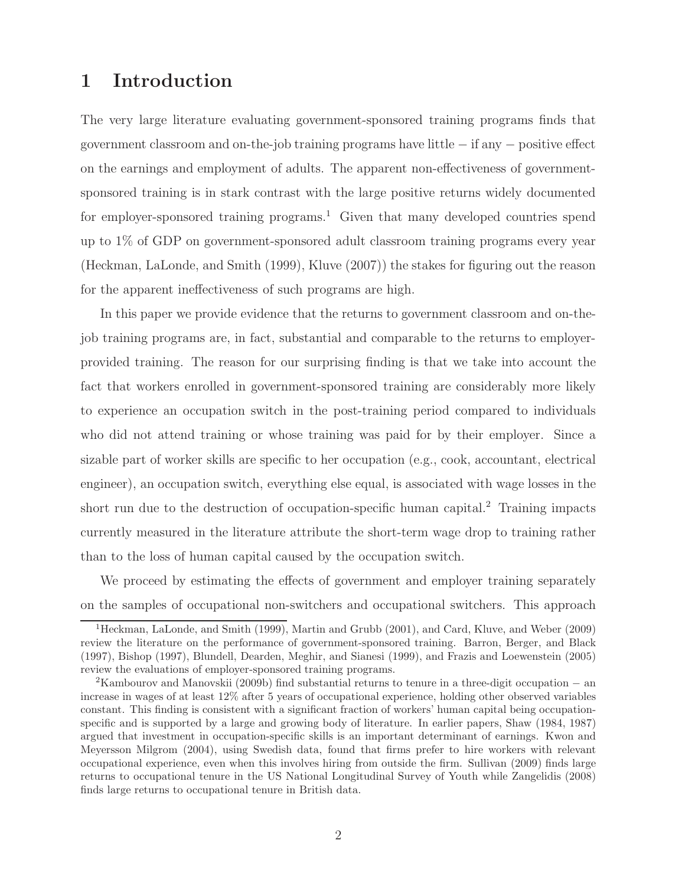## 1 Introduction

The very large literature evaluating government-sponsored training programs finds that government classroom and on-the-job training programs have little − if any − positive effect on the earnings and employment of adults. The apparent non-effectiveness of governmentsponsored training is in stark contrast with the large positive returns widely documented for employer-sponsored training programs.<sup>1</sup> Given that many developed countries spend up to 1% of GDP on government-sponsored adult classroom training programs every year (Heckman, LaLonde, and Smith (1999), Kluve (2007)) the stakes for figuring out the reason for the apparent ineffectiveness of such programs are high.

In this paper we provide evidence that the returns to government classroom and on-thejob training programs are, in fact, substantial and comparable to the returns to employerprovided training. The reason for our surprising finding is that we take into account the fact that workers enrolled in government-sponsored training are considerably more likely to experience an occupation switch in the post-training period compared to individuals who did not attend training or whose training was paid for by their employer. Since a sizable part of worker skills are specific to her occupation (e.g., cook, accountant, electrical engineer), an occupation switch, everything else equal, is associated with wage losses in the short run due to the destruction of occupation-specific human capital.<sup>2</sup> Training impacts currently measured in the literature attribute the short-term wage drop to training rather than to the loss of human capital caused by the occupation switch.

We proceed by estimating the effects of government and employer training separately on the samples of occupational non-switchers and occupational switchers. This approach

<sup>1</sup>Heckman, LaLonde, and Smith (1999), Martin and Grubb (2001), and Card, Kluve, and Weber (2009) review the literature on the performance of government-sponsored training. Barron, Berger, and Black (1997), Bishop (1997), Blundell, Dearden, Meghir, and Sianesi (1999), and Frazis and Loewenstein (2005) review the evaluations of employer-sponsored training programs.

<sup>&</sup>lt;sup>2</sup>Kambourov and Manovskii (2009b) find substantial returns to tenure in a three-digit occupation – an increase in wages of at least 12% after 5 years of occupational experience, holding other observed variables constant. This finding is consistent with a significant fraction of workers' human capital being occupationspecific and is supported by a large and growing body of literature. In earlier papers, Shaw (1984, 1987) argued that investment in occupation-specific skills is an important determinant of earnings. Kwon and Meyersson Milgrom (2004), using Swedish data, found that firms prefer to hire workers with relevant occupational experience, even when this involves hiring from outside the firm. Sullivan (2009) finds large returns to occupational tenure in the US National Longitudinal Survey of Youth while Zangelidis (2008) finds large returns to occupational tenure in British data.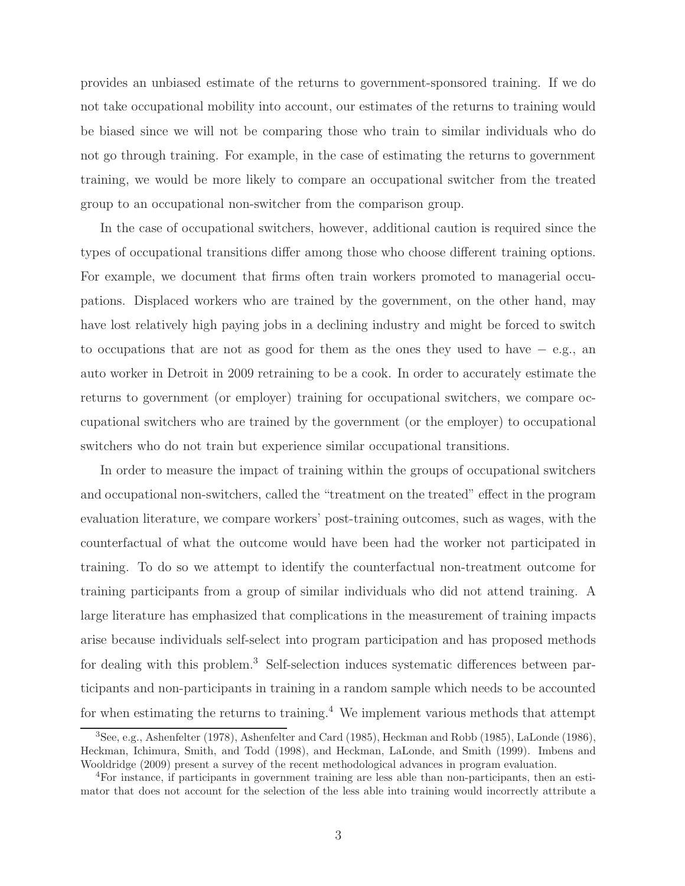provides an unbiased estimate of the returns to government-sponsored training. If we do not take occupational mobility into account, our estimates of the returns to training would be biased since we will not be comparing those who train to similar individuals who do not go through training. For example, in the case of estimating the returns to government training, we would be more likely to compare an occupational switcher from the treated group to an occupational non-switcher from the comparison group.

In the case of occupational switchers, however, additional caution is required since the types of occupational transitions differ among those who choose different training options. For example, we document that firms often train workers promoted to managerial occupations. Displaced workers who are trained by the government, on the other hand, may have lost relatively high paying jobs in a declining industry and might be forced to switch to occupations that are not as good for them as the ones they used to have − e.g., an auto worker in Detroit in 2009 retraining to be a cook. In order to accurately estimate the returns to government (or employer) training for occupational switchers, we compare occupational switchers who are trained by the government (or the employer) to occupational switchers who do not train but experience similar occupational transitions.

In order to measure the impact of training within the groups of occupational switchers and occupational non-switchers, called the "treatment on the treated" effect in the program evaluation literature, we compare workers' post-training outcomes, such as wages, with the counterfactual of what the outcome would have been had the worker not participated in training. To do so we attempt to identify the counterfactual non-treatment outcome for training participants from a group of similar individuals who did not attend training. A large literature has emphasized that complications in the measurement of training impacts arise because individuals self-select into program participation and has proposed methods for dealing with this problem.<sup>3</sup> Self-selection induces systematic differences between participants and non-participants in training in a random sample which needs to be accounted for when estimating the returns to training.<sup>4</sup> We implement various methods that attempt

<sup>3</sup>See, e.g., Ashenfelter (1978), Ashenfelter and Card (1985), Heckman and Robb (1985), LaLonde (1986), Heckman, Ichimura, Smith, and Todd (1998), and Heckman, LaLonde, and Smith (1999). Imbens and Wooldridge (2009) present a survey of the recent methodological advances in program evaluation.

<sup>4</sup>For instance, if participants in government training are less able than non-participants, then an estimator that does not account for the selection of the less able into training would incorrectly attribute a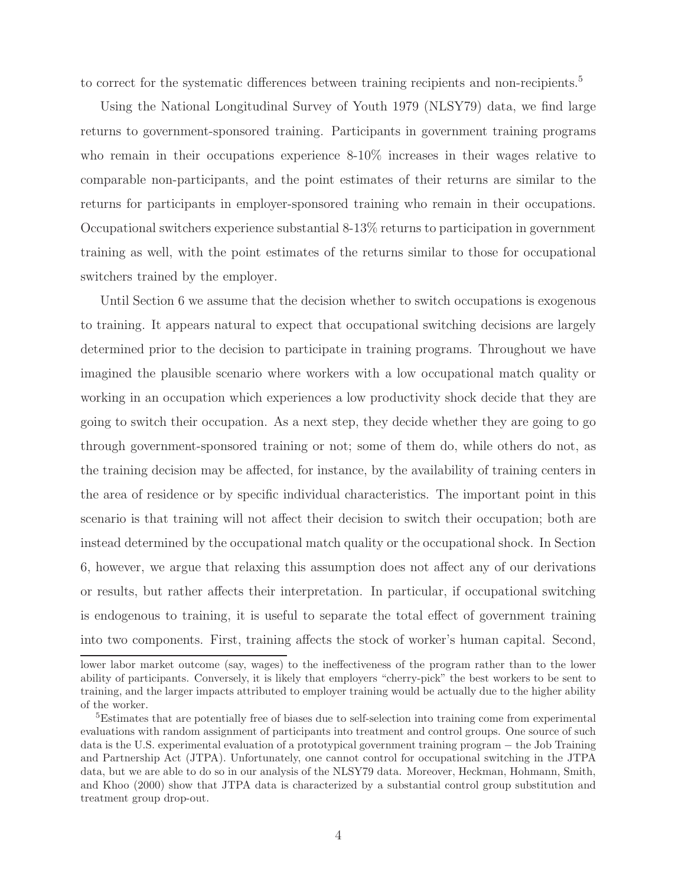to correct for the systematic differences between training recipients and non-recipients.<sup>5</sup>

Using the National Longitudinal Survey of Youth 1979 (NLSY79) data, we find large returns to government-sponsored training. Participants in government training programs who remain in their occupations experience 8-10% increases in their wages relative to comparable non-participants, and the point estimates of their returns are similar to the returns for participants in employer-sponsored training who remain in their occupations. Occupational switchers experience substantial 8-13% returns to participation in government training as well, with the point estimates of the returns similar to those for occupational switchers trained by the employer.

Until Section 6 we assume that the decision whether to switch occupations is exogenous to training. It appears natural to expect that occupational switching decisions are largely determined prior to the decision to participate in training programs. Throughout we have imagined the plausible scenario where workers with a low occupational match quality or working in an occupation which experiences a low productivity shock decide that they are going to switch their occupation. As a next step, they decide whether they are going to go through government-sponsored training or not; some of them do, while others do not, as the training decision may be affected, for instance, by the availability of training centers in the area of residence or by specific individual characteristics. The important point in this scenario is that training will not affect their decision to switch their occupation; both are instead determined by the occupational match quality or the occupational shock. In Section 6, however, we argue that relaxing this assumption does not affect any of our derivations or results, but rather affects their interpretation. In particular, if occupational switching is endogenous to training, it is useful to separate the total effect of government training into two components. First, training affects the stock of worker's human capital. Second,

lower labor market outcome (say, wages) to the ineffectiveness of the program rather than to the lower ability of participants. Conversely, it is likely that employers "cherry-pick" the best workers to be sent to training, and the larger impacts attributed to employer training would be actually due to the higher ability of the worker.

<sup>&</sup>lt;sup>5</sup>Estimates that are potentially free of biases due to self-selection into training come from experimental evaluations with random assignment of participants into treatment and control groups. One source of such data is the U.S. experimental evaluation of a prototypical government training program − the Job Training and Partnership Act (JTPA). Unfortunately, one cannot control for occupational switching in the JTPA data, but we are able to do so in our analysis of the NLSY79 data. Moreover, Heckman, Hohmann, Smith, and Khoo (2000) show that JTPA data is characterized by a substantial control group substitution and treatment group drop-out.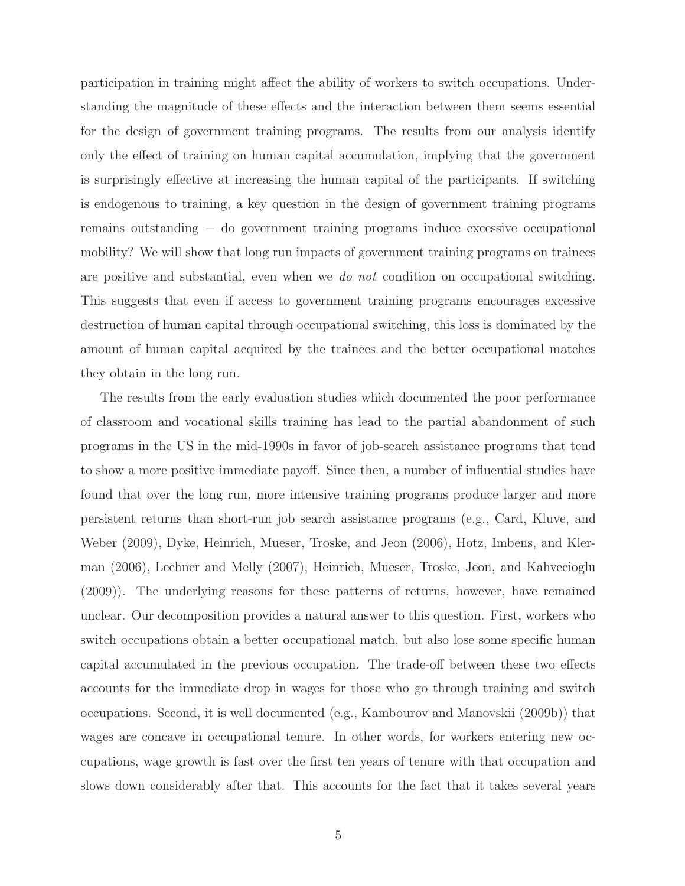participation in training might affect the ability of workers to switch occupations. Understanding the magnitude of these effects and the interaction between them seems essential for the design of government training programs. The results from our analysis identify only the effect of training on human capital accumulation, implying that the government is surprisingly effective at increasing the human capital of the participants. If switching is endogenous to training, a key question in the design of government training programs remains outstanding − do government training programs induce excessive occupational mobility? We will show that long run impacts of government training programs on trainees are positive and substantial, even when we do not condition on occupational switching. This suggests that even if access to government training programs encourages excessive destruction of human capital through occupational switching, this loss is dominated by the amount of human capital acquired by the trainees and the better occupational matches they obtain in the long run.

The results from the early evaluation studies which documented the poor performance of classroom and vocational skills training has lead to the partial abandonment of such programs in the US in the mid-1990s in favor of job-search assistance programs that tend to show a more positive immediate payoff. Since then, a number of influential studies have found that over the long run, more intensive training programs produce larger and more persistent returns than short-run job search assistance programs (e.g., Card, Kluve, and Weber (2009), Dyke, Heinrich, Mueser, Troske, and Jeon (2006), Hotz, Imbens, and Klerman (2006), Lechner and Melly (2007), Heinrich, Mueser, Troske, Jeon, and Kahvecioglu (2009)). The underlying reasons for these patterns of returns, however, have remained unclear. Our decomposition provides a natural answer to this question. First, workers who switch occupations obtain a better occupational match, but also lose some specific human capital accumulated in the previous occupation. The trade-off between these two effects accounts for the immediate drop in wages for those who go through training and switch occupations. Second, it is well documented (e.g., Kambourov and Manovskii (2009b)) that wages are concave in occupational tenure. In other words, for workers entering new occupations, wage growth is fast over the first ten years of tenure with that occupation and slows down considerably after that. This accounts for the fact that it takes several years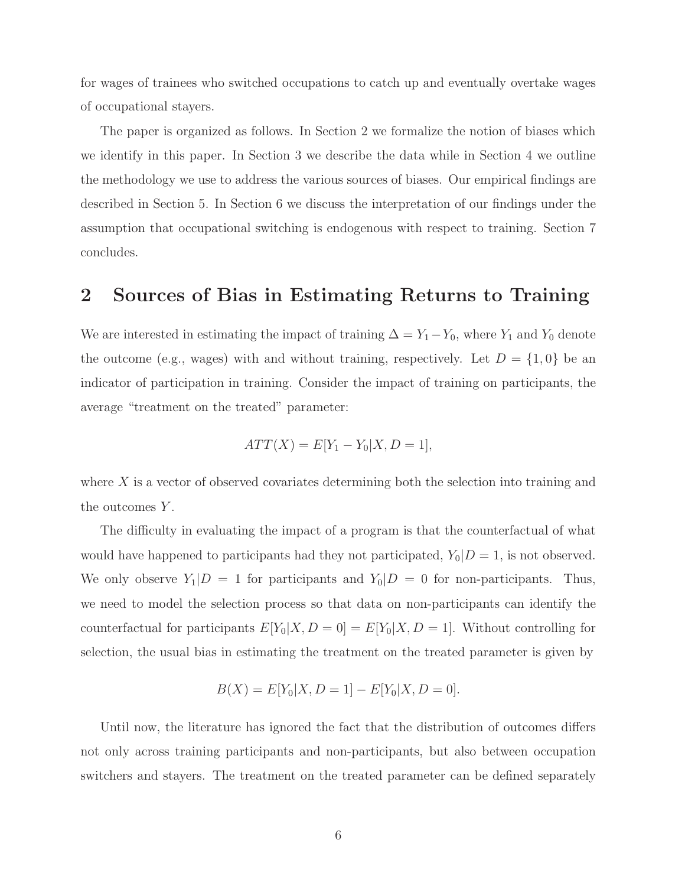for wages of trainees who switched occupations to catch up and eventually overtake wages of occupational stayers.

The paper is organized as follows. In Section 2 we formalize the notion of biases which we identify in this paper. In Section 3 we describe the data while in Section 4 we outline the methodology we use to address the various sources of biases. Our empirical findings are described in Section 5. In Section 6 we discuss the interpretation of our findings under the assumption that occupational switching is endogenous with respect to training. Section 7 concludes.

## 2 Sources of Bias in Estimating Returns to Training

We are interested in estimating the impact of training  $\Delta = Y_1 - Y_0$ , where  $Y_1$  and  $Y_0$  denote the outcome (e.g., wages) with and without training, respectively. Let  $D = \{1,0\}$  be an indicator of participation in training. Consider the impact of training on participants, the average "treatment on the treated" parameter:

$$
ATT(X) = E[Y_1 - Y_0 | X, D = 1],
$$

where X is a vector of observed covariates determining both the selection into training and the outcomes Y.

The difficulty in evaluating the impact of a program is that the counterfactual of what would have happened to participants had they not participated,  $Y_0|D=1$ , is not observed. We only observe  $Y_1|D = 1$  for participants and  $Y_0|D = 0$  for non-participants. Thus, we need to model the selection process so that data on non-participants can identify the counterfactual for participants  $E[Y_0|X, D = 0] = E[Y_0|X, D = 1]$ . Without controlling for selection, the usual bias in estimating the treatment on the treated parameter is given by

$$
B(X) = E[Y_0|X, D = 1] - E[Y_0|X, D = 0].
$$

Until now, the literature has ignored the fact that the distribution of outcomes differs not only across training participants and non-participants, but also between occupation switchers and stayers. The treatment on the treated parameter can be defined separately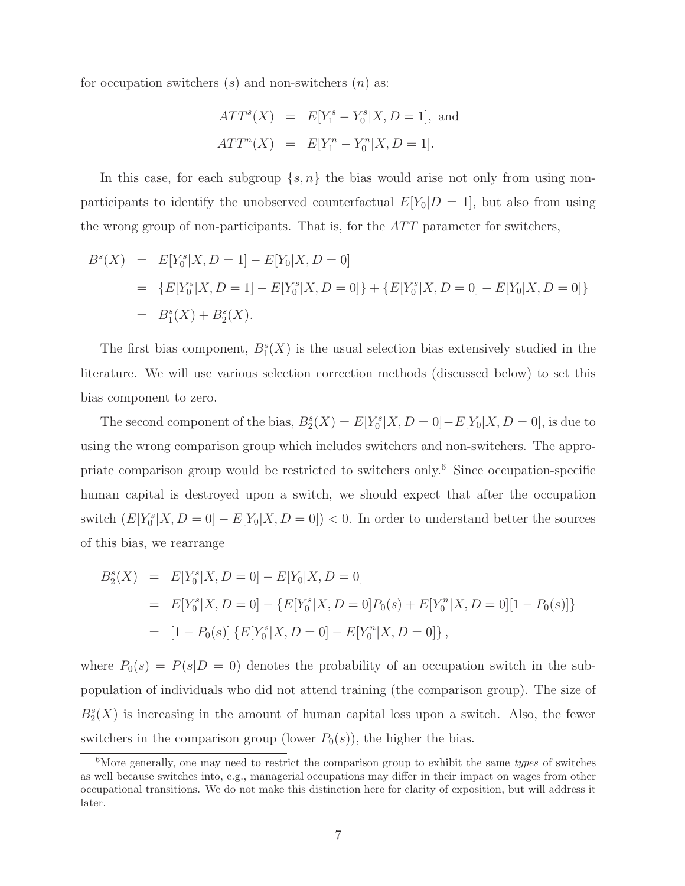for occupation switchers  $(s)$  and non-switchers  $(n)$  as:

$$
ATT^{s}(X) = E[Y_{1}^{s} - Y_{0}^{s}|X, D = 1], \text{ and}
$$
  

$$
ATT^{n}(X) = E[Y_{1}^{n} - Y_{0}^{n}|X, D = 1].
$$

In this case, for each subgroup  $\{s, n\}$  the bias would arise not only from using nonparticipants to identify the unobserved counterfactual  $E[Y_0|D=1]$ , but also from using the wrong group of non-participants. That is, for the  $ATT$  parameter for switchers,

$$
B^{s}(X) = E[Y_{0}^{s}|X, D = 1] - E[Y_{0}|X, D = 0]
$$
  
= 
$$
\{E[Y_{0}^{s}|X, D = 1] - E[Y_{0}^{s}|X, D = 0]\} + \{E[Y_{0}^{s}|X, D = 0] - E[Y_{0}|X, D = 0]\}
$$
  
= 
$$
B_{1}^{s}(X) + B_{2}^{s}(X).
$$

The first bias component,  $B_1^s(X)$  is the usual selection bias extensively studied in the literature. We will use various selection correction methods (discussed below) to set this bias component to zero.

The second component of the bias,  $B_2^s(X) = E[Y_0^s | X, D = 0] - E[Y_0 | X, D = 0]$ , is due to using the wrong comparison group which includes switchers and non-switchers. The appropriate comparison group would be restricted to switchers only.<sup>6</sup> Since occupation-specific human capital is destroyed upon a switch, we should expect that after the occupation switch  $(E[Y_0^s | X, D = 0] - E[Y_0 | X, D = 0]) < 0$ . In order to understand better the sources of this bias, we rearrange

$$
B_2^s(X) = E[Y_0^s | X, D = 0] - E[Y_0 | X, D = 0]
$$
  
= 
$$
E[Y_0^s | X, D = 0] - \{E[Y_0^s | X, D = 0]P_0(s) + E[Y_0^n | X, D = 0][1 - P_0(s)]\}
$$
  
= 
$$
[1 - P_0(s)] \{E[Y_0^s | X, D = 0] - E[Y_0^n | X, D = 0]\},
$$

where  $P_0(s) = P(s|D = 0)$  denotes the probability of an occupation switch in the subpopulation of individuals who did not attend training (the comparison group). The size of  $B_2^s(X)$  is increasing in the amount of human capital loss upon a switch. Also, the fewer switchers in the comparison group (lower  $P_0(s)$ ), the higher the bias.

 $6$ More generally, one may need to restrict the comparison group to exhibit the same types of switches as well because switches into, e.g., managerial occupations may differ in their impact on wages from other occupational transitions. We do not make this distinction here for clarity of exposition, but will address it later.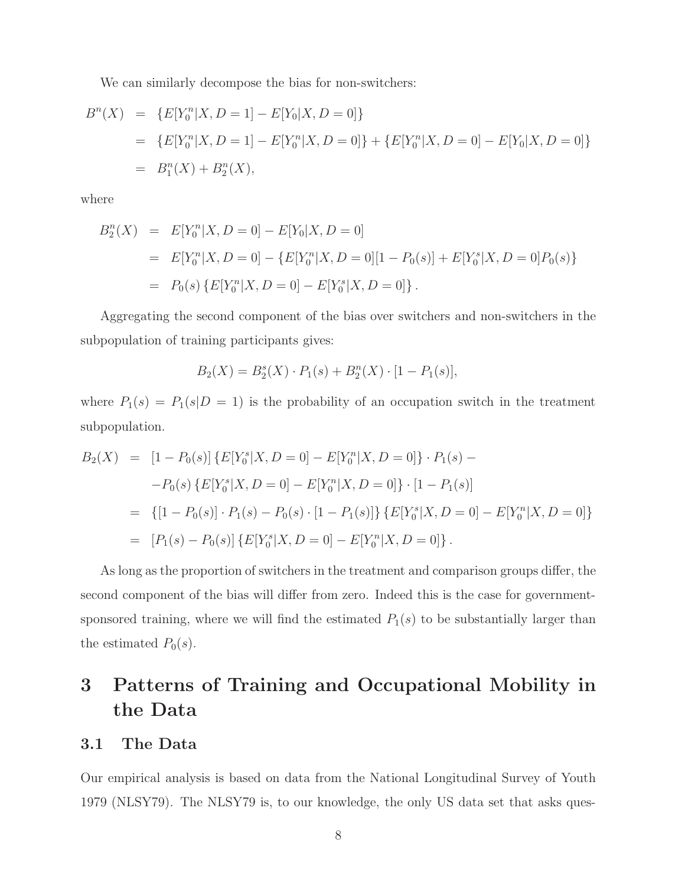We can similarly decompose the bias for non-switchers:

$$
B^{n}(X) = \{E[Y_{0}^{n}|X, D = 1] - E[Y_{0}|X, D = 0]\}
$$
  
= 
$$
\{E[Y_{0}^{n}|X, D = 1] - E[Y_{0}^{n}|X, D = 0]\} + \{E[Y_{0}^{n}|X, D = 0] - E[Y_{0}|X, D = 0]\}
$$
  
= 
$$
B_{1}^{n}(X) + B_{2}^{n}(X),
$$

where

$$
B_2^n(X) = E[Y_0^n | X, D = 0] - E[Y_0 | X, D = 0]
$$
  
= 
$$
E[Y_0^n | X, D = 0] - \{E[Y_0^n | X, D = 0] \mid 1 - P_0(s)\} + E[Y_0^s | X, D = 0]P_0(s)\}
$$
  
= 
$$
P_0(s) \{E[Y_0^n | X, D = 0] - E[Y_0^s | X, D = 0]\}.
$$

Aggregating the second component of the bias over switchers and non-switchers in the subpopulation of training participants gives:

$$
B_2(X) = B_2^s(X) \cdot P_1(s) + B_2^n(X) \cdot [1 - P_1(s)],
$$

where  $P_1(s) = P_1(s|D = 1)$  is the probability of an occupation switch in the treatment subpopulation.

$$
B_2(X) = [1 - P_0(s)] \{ E[Y_0^s | X, D = 0] - E[Y_0^n | X, D = 0] \} \cdot P_1(s) -
$$
  
\n
$$
-P_0(s) \{ E[Y_0^s | X, D = 0] - E[Y_0^n | X, D = 0] \} \cdot [1 - P_1(s)]
$$
  
\n
$$
= \{ [1 - P_0(s)] \cdot P_1(s) - P_0(s) \cdot [1 - P_1(s)] \} \{ E[Y_0^s | X, D = 0] - E[Y_0^n | X, D = 0] \}
$$
  
\n
$$
= [P_1(s) - P_0(s)] \{ E[Y_0^s | X, D = 0] - E[Y_0^n | X, D = 0] \}.
$$

As long as the proportion of switchers in the treatment and comparison groups differ, the second component of the bias will differ from zero. Indeed this is the case for governmentsponsored training, where we will find the estimated  $P_1(s)$  to be substantially larger than the estimated  $P_0(s)$ .

# 3 Patterns of Training and Occupational Mobility in the Data

### 3.1 The Data

Our empirical analysis is based on data from the National Longitudinal Survey of Youth 1979 (NLSY79). The NLSY79 is, to our knowledge, the only US data set that asks ques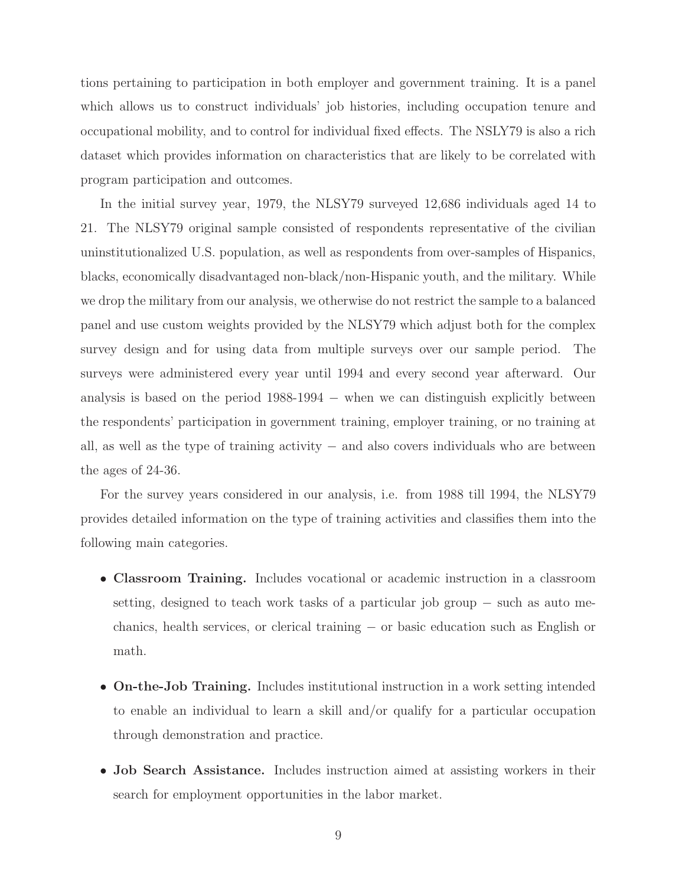tions pertaining to participation in both employer and government training. It is a panel which allows us to construct individuals' job histories, including occupation tenure and occupational mobility, and to control for individual fixed effects. The NSLY79 is also a rich dataset which provides information on characteristics that are likely to be correlated with program participation and outcomes.

In the initial survey year, 1979, the NLSY79 surveyed 12,686 individuals aged 14 to 21. The NLSY79 original sample consisted of respondents representative of the civilian uninstitutionalized U.S. population, as well as respondents from over-samples of Hispanics, blacks, economically disadvantaged non-black/non-Hispanic youth, and the military. While we drop the military from our analysis, we otherwise do not restrict the sample to a balanced panel and use custom weights provided by the NLSY79 which adjust both for the complex survey design and for using data from multiple surveys over our sample period. The surveys were administered every year until 1994 and every second year afterward. Our analysis is based on the period  $1988-1994 -$  when we can distinguish explicitly between the respondents' participation in government training, employer training, or no training at all, as well as the type of training activity − and also covers individuals who are between the ages of 24-36.

For the survey years considered in our analysis, i.e. from 1988 till 1994, the NLSY79 provides detailed information on the type of training activities and classifies them into the following main categories.

- Classroom Training. Includes vocational or academic instruction in a classroom setting, designed to teach work tasks of a particular job group − such as auto mechanics, health services, or clerical training − or basic education such as English or math.
- On-the-Job Training. Includes institutional instruction in a work setting intended to enable an individual to learn a skill and/or qualify for a particular occupation through demonstration and practice.
- Job Search Assistance. Includes instruction aimed at assisting workers in their search for employment opportunities in the labor market.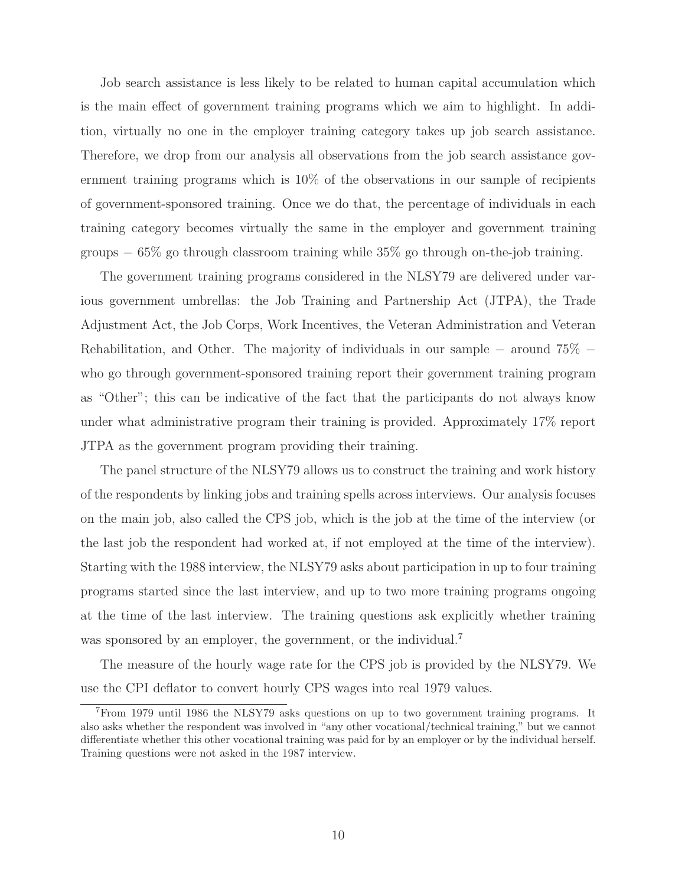Job search assistance is less likely to be related to human capital accumulation which is the main effect of government training programs which we aim to highlight. In addition, virtually no one in the employer training category takes up job search assistance. Therefore, we drop from our analysis all observations from the job search assistance government training programs which is 10% of the observations in our sample of recipients of government-sponsored training. Once we do that, the percentage of individuals in each training category becomes virtually the same in the employer and government training groups  $-65\%$  go through classroom training while 35% go through on-the-job training.

The government training programs considered in the NLSY79 are delivered under various government umbrellas: the Job Training and Partnership Act (JTPA), the Trade Adjustment Act, the Job Corps, Work Incentives, the Veteran Administration and Veteran Rehabilitation, and Other. The majority of individuals in our sample – around 75% − who go through government-sponsored training report their government training program as "Other"; this can be indicative of the fact that the participants do not always know under what administrative program their training is provided. Approximately 17% report JTPA as the government program providing their training.

The panel structure of the NLSY79 allows us to construct the training and work history of the respondents by linking jobs and training spells across interviews. Our analysis focuses on the main job, also called the CPS job, which is the job at the time of the interview (or the last job the respondent had worked at, if not employed at the time of the interview). Starting with the 1988 interview, the NLSY79 asks about participation in up to four training programs started since the last interview, and up to two more training programs ongoing at the time of the last interview. The training questions ask explicitly whether training was sponsored by an employer, the government, or the individual.<sup>7</sup>

The measure of the hourly wage rate for the CPS job is provided by the NLSY79. We use the CPI deflator to convert hourly CPS wages into real 1979 values.

<sup>7</sup>From 1979 until 1986 the NLSY79 asks questions on up to two government training programs. It also asks whether the respondent was involved in "any other vocational/technical training," but we cannot differentiate whether this other vocational training was paid for by an employer or by the individual herself. Training questions were not asked in the 1987 interview.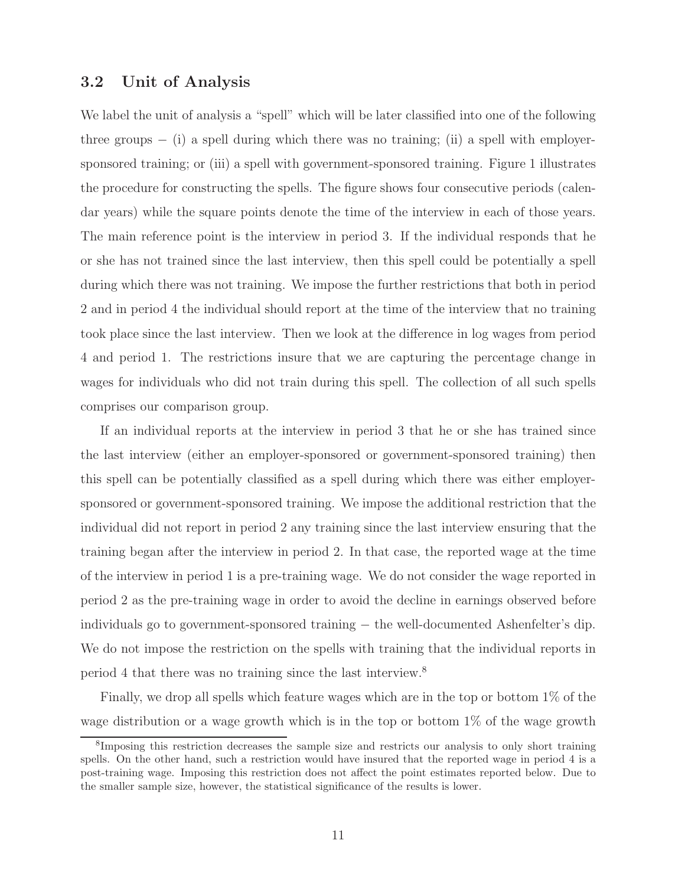### 3.2 Unit of Analysis

We label the unit of analysis a "spell" which will be later classified into one of the following three groups  $-$  (i) a spell during which there was no training; (ii) a spell with employersponsored training; or (iii) a spell with government-sponsored training. Figure 1 illustrates the procedure for constructing the spells. The figure shows four consecutive periods (calendar years) while the square points denote the time of the interview in each of those years. The main reference point is the interview in period 3. If the individual responds that he or she has not trained since the last interview, then this spell could be potentially a spell during which there was not training. We impose the further restrictions that both in period 2 and in period 4 the individual should report at the time of the interview that no training took place since the last interview. Then we look at the difference in log wages from period 4 and period 1. The restrictions insure that we are capturing the percentage change in wages for individuals who did not train during this spell. The collection of all such spells comprises our comparison group.

If an individual reports at the interview in period 3 that he or she has trained since the last interview (either an employer-sponsored or government-sponsored training) then this spell can be potentially classified as a spell during which there was either employersponsored or government-sponsored training. We impose the additional restriction that the individual did not report in period 2 any training since the last interview ensuring that the training began after the interview in period 2. In that case, the reported wage at the time of the interview in period 1 is a pre-training wage. We do not consider the wage reported in period 2 as the pre-training wage in order to avoid the decline in earnings observed before individuals go to government-sponsored training − the well-documented Ashenfelter's dip. We do not impose the restriction on the spells with training that the individual reports in period 4 that there was no training since the last interview.<sup>8</sup>

Finally, we drop all spells which feature wages which are in the top or bottom 1% of the wage distribution or a wage growth which is in the top or bottom  $1\%$  of the wage growth

<sup>8</sup> Imposing this restriction decreases the sample size and restricts our analysis to only short training spells. On the other hand, such a restriction would have insured that the reported wage in period 4 is a post-training wage. Imposing this restriction does not affect the point estimates reported below. Due to the smaller sample size, however, the statistical significance of the results is lower.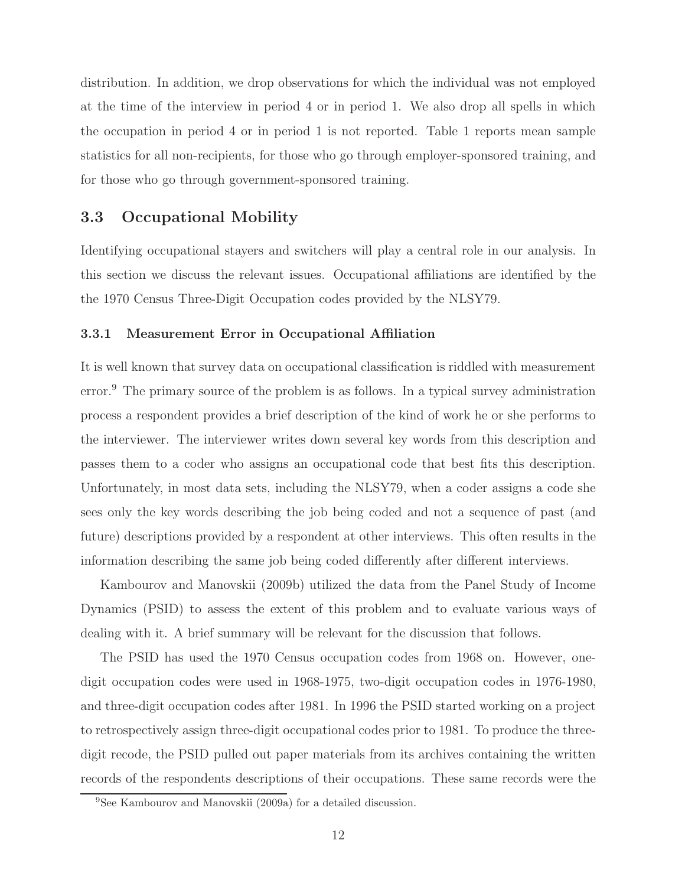distribution. In addition, we drop observations for which the individual was not employed at the time of the interview in period 4 or in period 1. We also drop all spells in which the occupation in period 4 or in period 1 is not reported. Table 1 reports mean sample statistics for all non-recipients, for those who go through employer-sponsored training, and for those who go through government-sponsored training.

## 3.3 Occupational Mobility

Identifying occupational stayers and switchers will play a central role in our analysis. In this section we discuss the relevant issues. Occupational affiliations are identified by the the 1970 Census Three-Digit Occupation codes provided by the NLSY79.

#### 3.3.1 Measurement Error in Occupational Affiliation

It is well known that survey data on occupational classification is riddled with measurement error.<sup>9</sup> The primary source of the problem is as follows. In a typical survey administration process a respondent provides a brief description of the kind of work he or she performs to the interviewer. The interviewer writes down several key words from this description and passes them to a coder who assigns an occupational code that best fits this description. Unfortunately, in most data sets, including the NLSY79, when a coder assigns a code she sees only the key words describing the job being coded and not a sequence of past (and future) descriptions provided by a respondent at other interviews. This often results in the information describing the same job being coded differently after different interviews.

Kambourov and Manovskii (2009b) utilized the data from the Panel Study of Income Dynamics (PSID) to assess the extent of this problem and to evaluate various ways of dealing with it. A brief summary will be relevant for the discussion that follows.

The PSID has used the 1970 Census occupation codes from 1968 on. However, onedigit occupation codes were used in 1968-1975, two-digit occupation codes in 1976-1980, and three-digit occupation codes after 1981. In 1996 the PSID started working on a project to retrospectively assign three-digit occupational codes prior to 1981. To produce the threedigit recode, the PSID pulled out paper materials from its archives containing the written records of the respondents descriptions of their occupations. These same records were the

<sup>9</sup>See Kambourov and Manovskii (2009a) for a detailed discussion.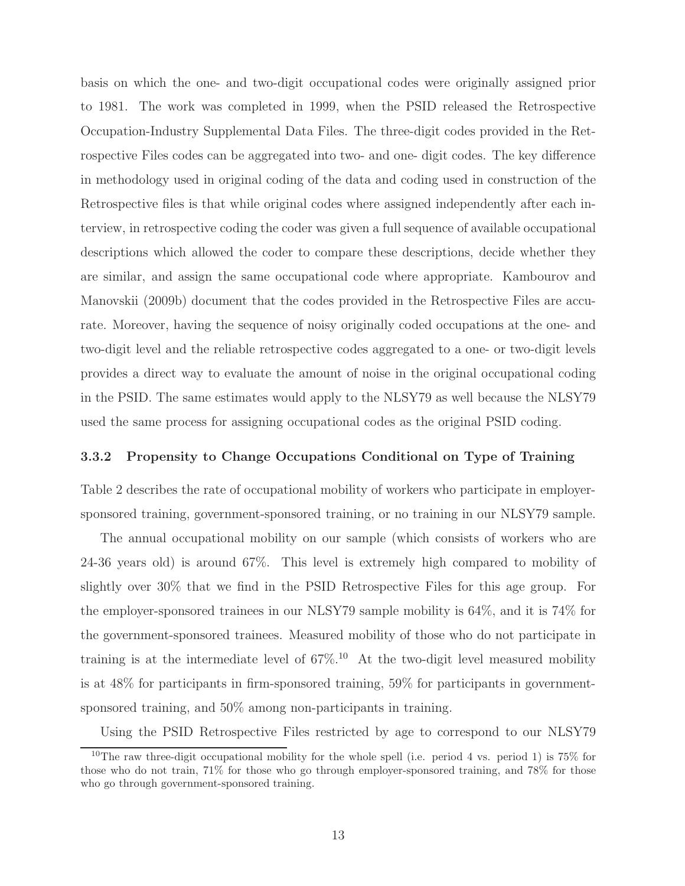basis on which the one- and two-digit occupational codes were originally assigned prior to 1981. The work was completed in 1999, when the PSID released the Retrospective Occupation-Industry Supplemental Data Files. The three-digit codes provided in the Retrospective Files codes can be aggregated into two- and one- digit codes. The key difference in methodology used in original coding of the data and coding used in construction of the Retrospective files is that while original codes where assigned independently after each interview, in retrospective coding the coder was given a full sequence of available occupational descriptions which allowed the coder to compare these descriptions, decide whether they are similar, and assign the same occupational code where appropriate. Kambourov and Manovskii (2009b) document that the codes provided in the Retrospective Files are accurate. Moreover, having the sequence of noisy originally coded occupations at the one- and two-digit level and the reliable retrospective codes aggregated to a one- or two-digit levels provides a direct way to evaluate the amount of noise in the original occupational coding in the PSID. The same estimates would apply to the NLSY79 as well because the NLSY79 used the same process for assigning occupational codes as the original PSID coding.

#### 3.3.2 Propensity to Change Occupations Conditional on Type of Training

Table 2 describes the rate of occupational mobility of workers who participate in employersponsored training, government-sponsored training, or no training in our NLSY79 sample.

The annual occupational mobility on our sample (which consists of workers who are 24-36 years old) is around 67%. This level is extremely high compared to mobility of slightly over 30% that we find in the PSID Retrospective Files for this age group. For the employer-sponsored trainees in our NLSY79 sample mobility is 64%, and it is 74% for the government-sponsored trainees. Measured mobility of those who do not participate in training is at the intermediate level of  $67\%$ .<sup>10</sup> At the two-digit level measured mobility is at 48% for participants in firm-sponsored training, 59% for participants in governmentsponsored training, and  $50\%$  among non-participants in training.

Using the PSID Retrospective Files restricted by age to correspond to our NLSY79

<sup>&</sup>lt;sup>10</sup>The raw three-digit occupational mobility for the whole spell (i.e. period 4 vs. period 1) is  $75\%$  for those who do not train, 71% for those who go through employer-sponsored training, and 78% for those who go through government-sponsored training.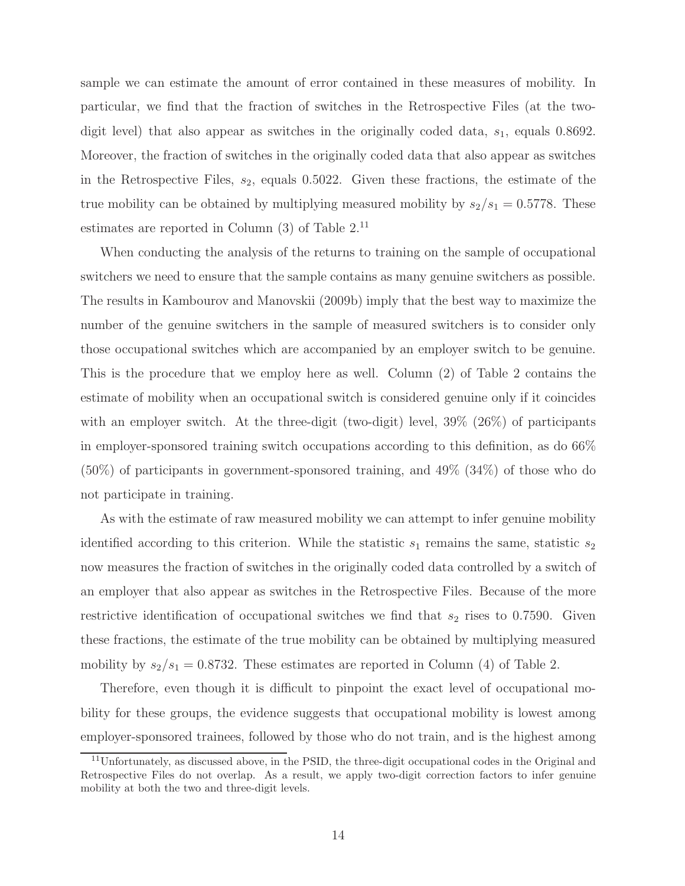sample we can estimate the amount of error contained in these measures of mobility. In particular, we find that the fraction of switches in the Retrospective Files (at the twodigit level) that also appear as switches in the originally coded data,  $s_1$ , equals 0.8692. Moreover, the fraction of switches in the originally coded data that also appear as switches in the Retrospective Files,  $s_2$ , equals 0.5022. Given these fractions, the estimate of the true mobility can be obtained by multiplying measured mobility by  $s_2/s_1 = 0.5778$ . These estimates are reported in Column  $(3)$  of Table  $2<sup>11</sup>$ 

When conducting the analysis of the returns to training on the sample of occupational switchers we need to ensure that the sample contains as many genuine switchers as possible. The results in Kambourov and Manovskii (2009b) imply that the best way to maximize the number of the genuine switchers in the sample of measured switchers is to consider only those occupational switches which are accompanied by an employer switch to be genuine. This is the procedure that we employ here as well. Column (2) of Table 2 contains the estimate of mobility when an occupational switch is considered genuine only if it coincides with an employer switch. At the three-digit (two-digit) level,  $39\%$  ( $26\%$ ) of participants in employer-sponsored training switch occupations according to this definition, as do 66% (50%) of participants in government-sponsored training, and 49% (34%) of those who do not participate in training.

As with the estimate of raw measured mobility we can attempt to infer genuine mobility identified according to this criterion. While the statistic  $s_1$  remains the same, statistic  $s_2$ now measures the fraction of switches in the originally coded data controlled by a switch of an employer that also appear as switches in the Retrospective Files. Because of the more restrictive identification of occupational switches we find that  $s_2$  rises to 0.7590. Given these fractions, the estimate of the true mobility can be obtained by multiplying measured mobility by  $s_2/s_1 = 0.8732$ . These estimates are reported in Column (4) of Table 2.

Therefore, even though it is difficult to pinpoint the exact level of occupational mobility for these groups, the evidence suggests that occupational mobility is lowest among employer-sponsored trainees, followed by those who do not train, and is the highest among

 $11$ Unfortunately, as discussed above, in the PSID, the three-digit occupational codes in the Original and Retrospective Files do not overlap. As a result, we apply two-digit correction factors to infer genuine mobility at both the two and three-digit levels.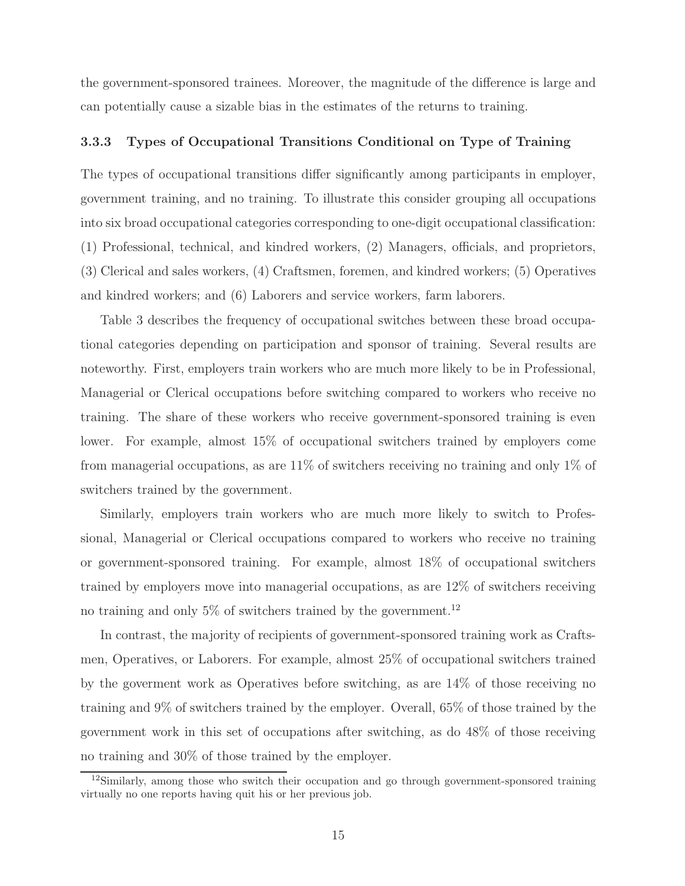the government-sponsored trainees. Moreover, the magnitude of the difference is large and can potentially cause a sizable bias in the estimates of the returns to training.

#### 3.3.3 Types of Occupational Transitions Conditional on Type of Training

The types of occupational transitions differ significantly among participants in employer, government training, and no training. To illustrate this consider grouping all occupations into six broad occupational categories corresponding to one-digit occupational classification: (1) Professional, technical, and kindred workers, (2) Managers, officials, and proprietors, (3) Clerical and sales workers, (4) Craftsmen, foremen, and kindred workers; (5) Operatives and kindred workers; and (6) Laborers and service workers, farm laborers.

Table 3 describes the frequency of occupational switches between these broad occupational categories depending on participation and sponsor of training. Several results are noteworthy. First, employers train workers who are much more likely to be in Professional, Managerial or Clerical occupations before switching compared to workers who receive no training. The share of these workers who receive government-sponsored training is even lower. For example, almost 15% of occupational switchers trained by employers come from managerial occupations, as are 11% of switchers receiving no training and only 1% of switchers trained by the government.

Similarly, employers train workers who are much more likely to switch to Professional, Managerial or Clerical occupations compared to workers who receive no training or government-sponsored training. For example, almost 18% of occupational switchers trained by employers move into managerial occupations, as are 12% of switchers receiving no training and only 5% of switchers trained by the government.<sup>12</sup>

In contrast, the majority of recipients of government-sponsored training work as Craftsmen, Operatives, or Laborers. For example, almost 25% of occupational switchers trained by the goverment work as Operatives before switching, as are 14% of those receiving no training and 9% of switchers trained by the employer. Overall, 65% of those trained by the government work in this set of occupations after switching, as do 48% of those receiving no training and 30% of those trained by the employer.

<sup>&</sup>lt;sup>12</sup>Similarly, among those who switch their occupation and go through government-sponsored training virtually no one reports having quit his or her previous job.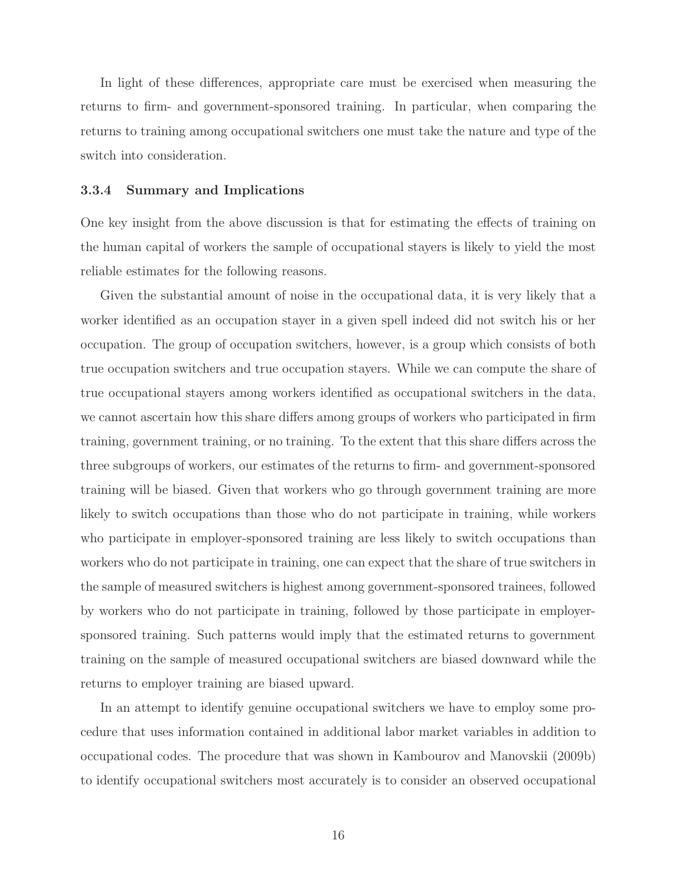In light of these differences, appropriate care must be exercised when measuring the returns to firm- and government-sponsored training. In particular, when comparing the returns to training among occupational switchers one must take the nature and type of the switch into consideration.

#### 3.3.4 Summary and Implications

One key insight from the above discussion is that for estimating the effects of training on the human capital of workers the sample of occupational stayers is likely to yield the most reliable estimates for the following reasons.

Given the substantial amount of noise in the occupational data, it is very likely that a worker identified as an occupation stayer in a given spell indeed did not switch his or her occupation. The group of occupation switchers, however, is a group which consists of both true occupation switchers and true occupation stayers. While we can compute the share of true occupational stayers among workers identified as occupational switchers in the data, we cannot ascertain how this share differs among groups of workers who participated in firm training, government training, or no training. To the extent that this share differs across the three subgroups of workers, our estimates of the returns to firm- and government-sponsored training will be biased. Given that workers who go through government training are more likely to switch occupations than those who do not participate in training, while workers who participate in employer-sponsored training are less likely to switch occupations than workers who do not participate in training, one can expect that the share of true switchers in the sample of measured switchers is highest among government-sponsored trainees, followed by workers who do not participate in training, followed by those participate in employersponsored training. Such patterns would imply that the estimated returns to government training on the sample of measured occupational switchers are biased downward while the returns to employer training are biased upward.

In an attempt to identify genuine occupational switchers we have to employ some procedure that uses information contained in additional labor market variables in addition to occupational codes. The procedure that was shown in Kambourov and Manovskii (2009b) to identify occupational switchers most accurately is to consider an observed occupational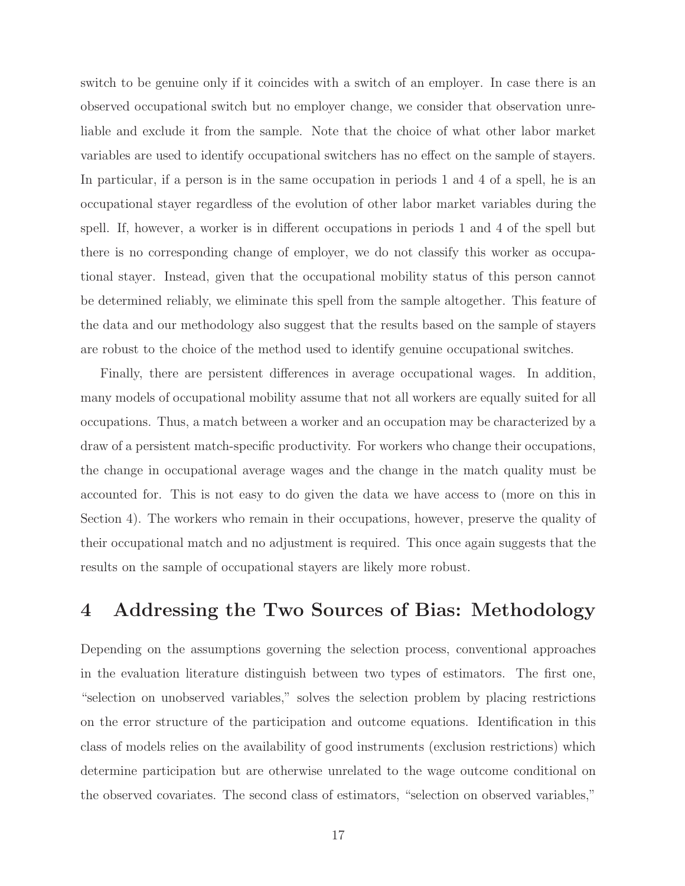switch to be genuine only if it coincides with a switch of an employer. In case there is an observed occupational switch but no employer change, we consider that observation unreliable and exclude it from the sample. Note that the choice of what other labor market variables are used to identify occupational switchers has no effect on the sample of stayers. In particular, if a person is in the same occupation in periods 1 and 4 of a spell, he is an occupational stayer regardless of the evolution of other labor market variables during the spell. If, however, a worker is in different occupations in periods 1 and 4 of the spell but there is no corresponding change of employer, we do not classify this worker as occupational stayer. Instead, given that the occupational mobility status of this person cannot be determined reliably, we eliminate this spell from the sample altogether. This feature of the data and our methodology also suggest that the results based on the sample of stayers are robust to the choice of the method used to identify genuine occupational switches.

Finally, there are persistent differences in average occupational wages. In addition, many models of occupational mobility assume that not all workers are equally suited for all occupations. Thus, a match between a worker and an occupation may be characterized by a draw of a persistent match-specific productivity. For workers who change their occupations, the change in occupational average wages and the change in the match quality must be accounted for. This is not easy to do given the data we have access to (more on this in Section 4). The workers who remain in their occupations, however, preserve the quality of their occupational match and no adjustment is required. This once again suggests that the results on the sample of occupational stayers are likely more robust.

## 4 Addressing the Two Sources of Bias: Methodology

Depending on the assumptions governing the selection process, conventional approaches in the evaluation literature distinguish between two types of estimators. The first one, "selection on unobserved variables," solves the selection problem by placing restrictions on the error structure of the participation and outcome equations. Identification in this class of models relies on the availability of good instruments (exclusion restrictions) which determine participation but are otherwise unrelated to the wage outcome conditional on the observed covariates. The second class of estimators, "selection on observed variables,"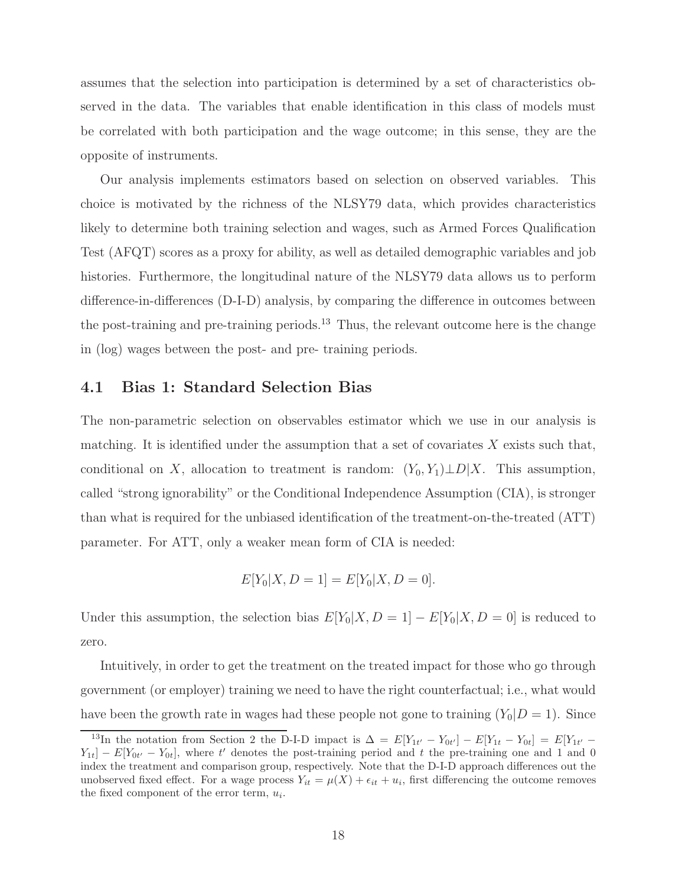assumes that the selection into participation is determined by a set of characteristics observed in the data. The variables that enable identification in this class of models must be correlated with both participation and the wage outcome; in this sense, they are the opposite of instruments.

Our analysis implements estimators based on selection on observed variables. This choice is motivated by the richness of the NLSY79 data, which provides characteristics likely to determine both training selection and wages, such as Armed Forces Qualification Test (AFQT) scores as a proxy for ability, as well as detailed demographic variables and job histories. Furthermore, the longitudinal nature of the NLSY79 data allows us to perform difference-in-differences (D-I-D) analysis, by comparing the difference in outcomes between the post-training and pre-training periods.<sup>13</sup> Thus, the relevant outcome here is the change in (log) wages between the post- and pre- training periods.

### 4.1 Bias 1: Standard Selection Bias

The non-parametric selection on observables estimator which we use in our analysis is matching. It is identified under the assumption that a set of covariates  $X$  exists such that, conditional on X, allocation to treatment is random:  $(Y_0, Y_1) \perp D | X$ . This assumption, called "strong ignorability" or the Conditional Independence Assumption (CIA), is stronger than what is required for the unbiased identification of the treatment-on-the-treated (ATT) parameter. For ATT, only a weaker mean form of CIA is needed:

$$
E[Y_0|X, D = 1] = E[Y_0|X, D = 0].
$$

Under this assumption, the selection bias  $E[Y_0|X, D = 1] - E[Y_0|X, D = 0]$  is reduced to zero.

Intuitively, in order to get the treatment on the treated impact for those who go through government (or employer) training we need to have the right counterfactual; i.e., what would have been the growth rate in wages had these people not gone to training  $(Y_0|D=1)$ . Since

<sup>&</sup>lt;sup>13</sup>In the notation from Section 2 the D-I-D impact is  $\Delta = E[Y_{1t'} - Y_{0t'}] - E[Y_{1t} - Y_{0t}] = E[Y_{1t'} - Y_{0t'}]$  $Y_{1t}$  –  $E[Y_{0t'} - Y_{0t}]$ , where t' denotes the post-training period and t the pre-training one and 1 and 0 index the treatment and comparison group, respectively. Note that the D-I-D approach differences out the unobserved fixed effect. For a wage process  $Y_{it} = \mu(X) + \epsilon_{it} + u_i$ , first differencing the outcome removes the fixed component of the error term,  $u_i$ .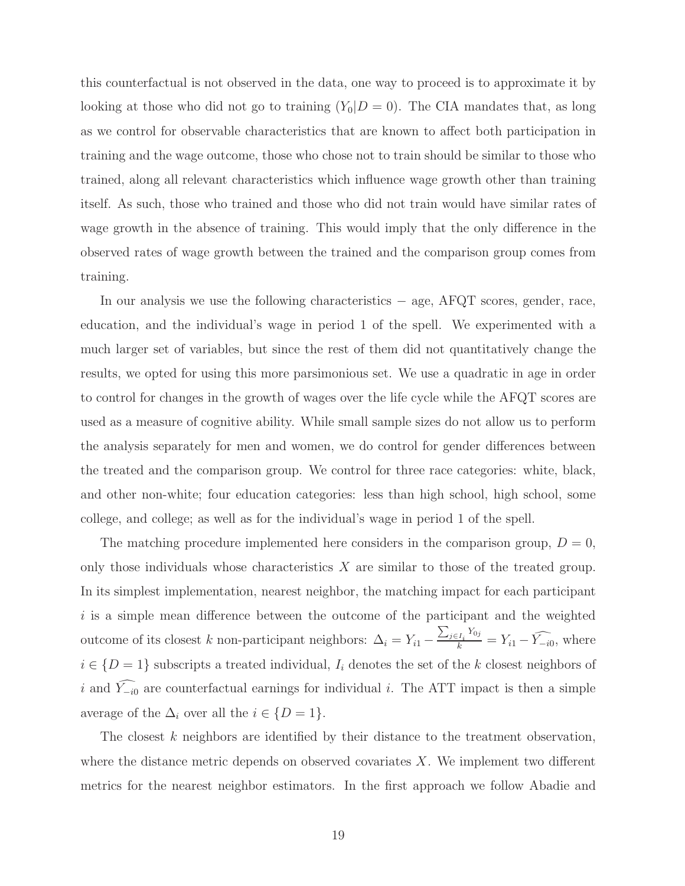this counterfactual is not observed in the data, one way to proceed is to approximate it by looking at those who did not go to training  $(Y_0|D=0)$ . The CIA mandates that, as long as we control for observable characteristics that are known to affect both participation in training and the wage outcome, those who chose not to train should be similar to those who trained, along all relevant characteristics which influence wage growth other than training itself. As such, those who trained and those who did not train would have similar rates of wage growth in the absence of training. This would imply that the only difference in the observed rates of wage growth between the trained and the comparison group comes from training.

In our analysis we use the following characteristics − age, AFQT scores, gender, race, education, and the individual's wage in period 1 of the spell. We experimented with a much larger set of variables, but since the rest of them did not quantitatively change the results, we opted for using this more parsimonious set. We use a quadratic in age in order to control for changes in the growth of wages over the life cycle while the AFQT scores are used as a measure of cognitive ability. While small sample sizes do not allow us to perform the analysis separately for men and women, we do control for gender differences between the treated and the comparison group. We control for three race categories: white, black, and other non-white; four education categories: less than high school, high school, some college, and college; as well as for the individual's wage in period 1 of the spell.

The matching procedure implemented here considers in the comparison group,  $D = 0$ , only those individuals whose characteristics  $X$  are similar to those of the treated group. In its simplest implementation, nearest neighbor, the matching impact for each participant  $i$  is a simple mean difference between the outcome of the participant and the weighted outcome of its closest k non-participant neighbors:  $\Delta_i = Y_{i1} \overline{a}$  $\frac{f_j \in I_i}{k}$ <sup>Y<sub>0j</sub></sup> =  $Y_{i1} - \widehat{Y_{-i0}}$ , where  $i \in \{D=1\}$  subscripts a treated individual,  $I_i$  denotes the set of the k closest neighbors of i and  $\widehat{Y_{-i0}}$  are counterfactual earnings for individual i. The ATT impact is then a simple average of the  $\Delta_i$  over all the  $i \in \{D = 1\}.$ 

The closest k neighbors are identified by their distance to the treatment observation, where the distance metric depends on observed covariates  $X$ . We implement two different metrics for the nearest neighbor estimators. In the first approach we follow Abadie and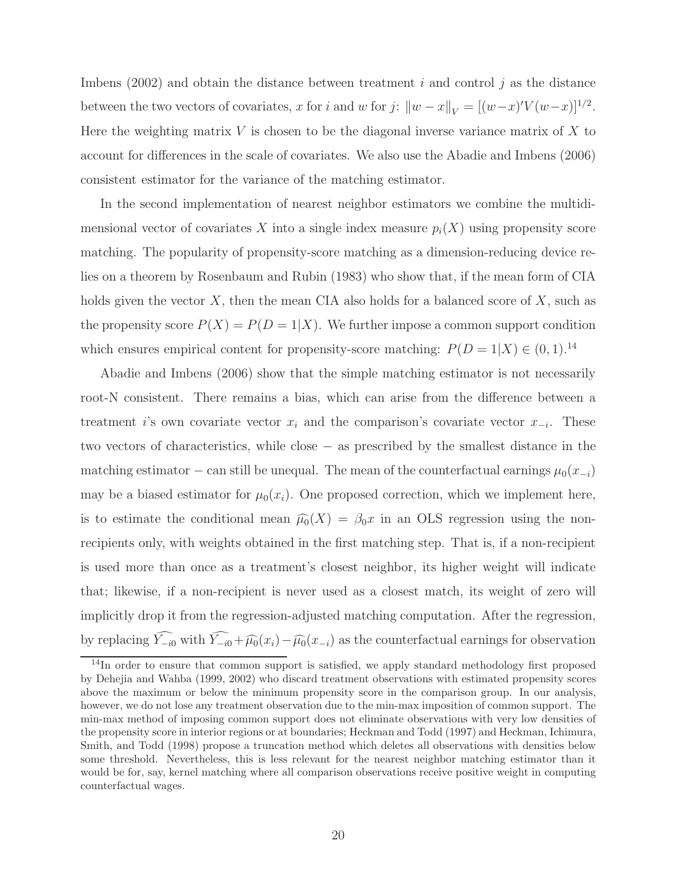Imbens (2002) and obtain the distance between treatment  $i$  and control  $j$  as the distance between the two vectors of covariates, x for i and w for j:  $||w - x||_V = [(w - x)'V(w - x)]^{1/2}$ . Here the weighting matrix  $V$  is chosen to be the diagonal inverse variance matrix of  $X$  to account for differences in the scale of covariates. We also use the Abadie and Imbens (2006) consistent estimator for the variance of the matching estimator.

In the second implementation of nearest neighbor estimators we combine the multidimensional vector of covariates X into a single index measure  $p_i(X)$  using propensity score matching. The popularity of propensity-score matching as a dimension-reducing device relies on a theorem by Rosenbaum and Rubin (1983) who show that, if the mean form of CIA holds given the vector  $X$ , then the mean CIA also holds for a balanced score of  $X$ , such as the propensity score  $P(X) = P(D = 1|X)$ . We further impose a common support condition which ensures empirical content for propensity-score matching:  $P(D = 1|X) \in (0, 1).^{14}$ 

Abadie and Imbens (2006) show that the simple matching estimator is not necessarily root-N consistent. There remains a bias, which can arise from the difference between a treatment *i*'s own covariate vector  $x_i$  and the comparison's covariate vector  $x_{-i}$ . These two vectors of characteristics, while close − as prescribed by the smallest distance in the matching estimator – can still be unequal. The mean of the counterfactual earnings  $\mu_0(x_{-i})$ may be a biased estimator for  $\mu_0(x_i)$ . One proposed correction, which we implement here, is to estimate the conditional mean  $\widehat{\mu}_0(X) = \beta_0 x$  in an OLS regression using the nonrecipients only, with weights obtained in the first matching step. That is, if a non-recipient is used more than once as a treatment's closest neighbor, its higher weight will indicate that; likewise, if a non-recipient is never used as a closest match, its weight of zero will implicitly drop it from the regression-adjusted matching computation. After the regression, by replacing  $\widehat{Y_{-i0}}$  with  $\widehat{Y_{-i0}}+\widehat{\mu_0}(x_i)-\widehat{\mu_0}(x_{-i})$  as the counterfactual earnings for observation

<sup>&</sup>lt;sup>14</sup>In order to ensure that common support is satisfied, we apply standard methodology first proposed by Dehejia and Wahba (1999, 2002) who discard treatment observations with estimated propensity scores above the maximum or below the minimum propensity score in the comparison group. In our analysis, however, we do not lose any treatment observation due to the min-max imposition of common support. The min-max method of imposing common support does not eliminate observations with very low densities of the propensity score in interior regions or at boundaries; Heckman and Todd (1997) and Heckman, Ichimura, Smith, and Todd (1998) propose a truncation method which deletes all observations with densities below some threshold. Nevertheless, this is less relevant for the nearest neighbor matching estimator than it would be for, say, kernel matching where all comparison observations receive positive weight in computing counterfactual wages.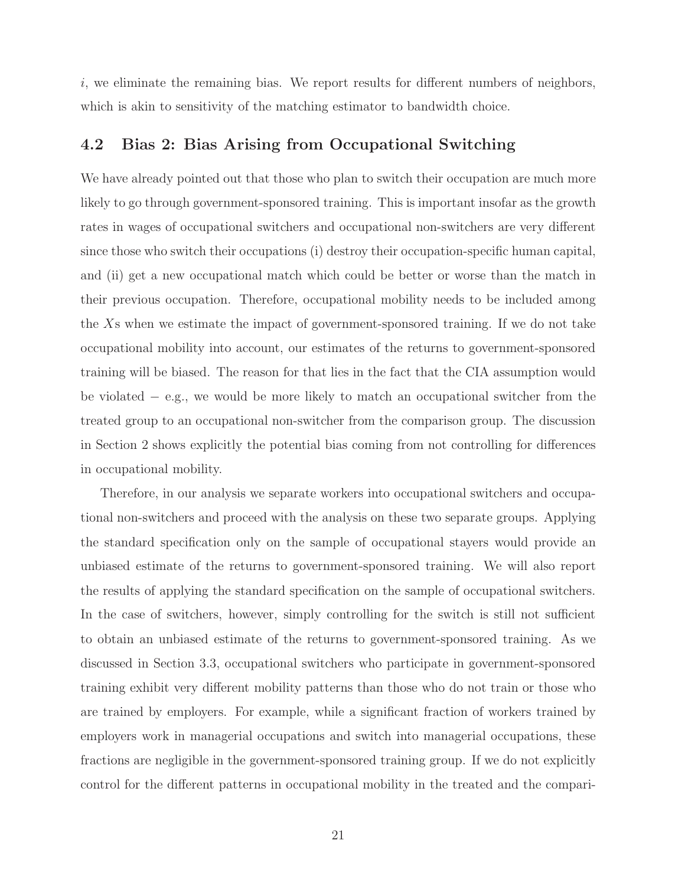$i$ , we eliminate the remaining bias. We report results for different numbers of neighbors, which is akin to sensitivity of the matching estimator to bandwidth choice.

### 4.2 Bias 2: Bias Arising from Occupational Switching

We have already pointed out that those who plan to switch their occupation are much more likely to go through government-sponsored training. This is important insofar as the growth rates in wages of occupational switchers and occupational non-switchers are very different since those who switch their occupations (i) destroy their occupation-specific human capital, and (ii) get a new occupational match which could be better or worse than the match in their previous occupation. Therefore, occupational mobility needs to be included among the Xs when we estimate the impact of government-sponsored training. If we do not take occupational mobility into account, our estimates of the returns to government-sponsored training will be biased. The reason for that lies in the fact that the CIA assumption would be violated − e.g., we would be more likely to match an occupational switcher from the treated group to an occupational non-switcher from the comparison group. The discussion in Section 2 shows explicitly the potential bias coming from not controlling for differences in occupational mobility.

Therefore, in our analysis we separate workers into occupational switchers and occupational non-switchers and proceed with the analysis on these two separate groups. Applying the standard specification only on the sample of occupational stayers would provide an unbiased estimate of the returns to government-sponsored training. We will also report the results of applying the standard specification on the sample of occupational switchers. In the case of switchers, however, simply controlling for the switch is still not sufficient to obtain an unbiased estimate of the returns to government-sponsored training. As we discussed in Section 3.3, occupational switchers who participate in government-sponsored training exhibit very different mobility patterns than those who do not train or those who are trained by employers. For example, while a significant fraction of workers trained by employers work in managerial occupations and switch into managerial occupations, these fractions are negligible in the government-sponsored training group. If we do not explicitly control for the different patterns in occupational mobility in the treated and the compari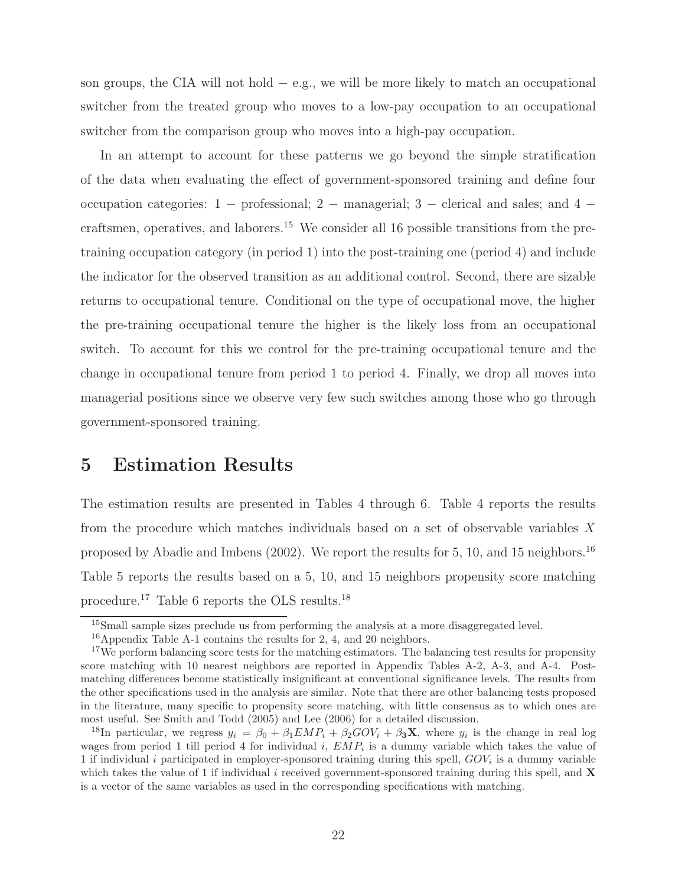son groups, the CIA will not hold − e.g., we will be more likely to match an occupational switcher from the treated group who moves to a low-pay occupation to an occupational switcher from the comparison group who moves into a high-pay occupation.

In an attempt to account for these patterns we go beyond the simple stratification of the data when evaluating the effect of government-sponsored training and define four occupation categories:  $1 -$  professional;  $2 -$  managerial;  $3 -$  clerical and sales; and  $4$ craftsmen, operatives, and laborers.<sup>15</sup> We consider all 16 possible transitions from the pretraining occupation category (in period 1) into the post-training one (period 4) and include the indicator for the observed transition as an additional control. Second, there are sizable returns to occupational tenure. Conditional on the type of occupational move, the higher the pre-training occupational tenure the higher is the likely loss from an occupational switch. To account for this we control for the pre-training occupational tenure and the change in occupational tenure from period 1 to period 4. Finally, we drop all moves into managerial positions since we observe very few such switches among those who go through government-sponsored training.

## 5 Estimation Results

The estimation results are presented in Tables 4 through 6. Table 4 reports the results from the procedure which matches individuals based on a set of observable variables X proposed by Abadie and Imbens (2002). We report the results for 5, 10, and 15 neighbors.<sup>16</sup> Table 5 reports the results based on a 5, 10, and 15 neighbors propensity score matching procedure.<sup>17</sup> Table 6 reports the OLS results.<sup>18</sup>

<sup>&</sup>lt;sup>15</sup>Small sample sizes preclude us from performing the analysis at a more disaggregated level.

 $16$ Appendix Table A-1 contains the results for 2, 4, and 20 neighbors.

<sup>&</sup>lt;sup>17</sup>We perform balancing score tests for the matching estimators. The balancing test results for propensity score matching with 10 nearest neighbors are reported in Appendix Tables A-2, A-3, and A-4. Postmatching differences become statistically insignificant at conventional significance levels. The results from the other specifications used in the analysis are similar. Note that there are other balancing tests proposed in the literature, many specific to propensity score matching, with little consensus as to which ones are most useful. See Smith and Todd (2005) and Lee (2006) for a detailed discussion.

<sup>&</sup>lt;sup>18</sup>In particular, we regress  $y_i = \beta_0 + \beta_1 E M P_i + \beta_2 G O V_i + \beta_3 \mathbf{X}$ , where  $y_i$  is the change in real log wages from period 1 till period 4 for individual i,  $EMP_i$  is a dummy variable which takes the value of 1 if individual i participated in employer-sponsored training during this spell,  $GOV_i$  is a dummy variable which takes the value of 1 if individual i received government-sponsored training during this spell, and  $\bf{X}$ is a vector of the same variables as used in the corresponding specifications with matching.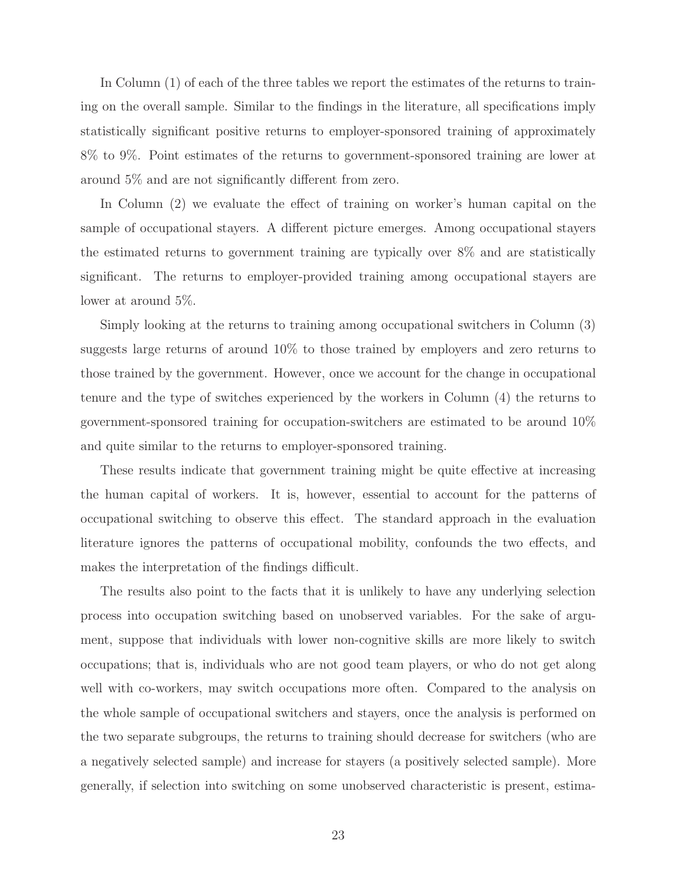In Column (1) of each of the three tables we report the estimates of the returns to training on the overall sample. Similar to the findings in the literature, all specifications imply statistically significant positive returns to employer-sponsored training of approximately 8% to 9%. Point estimates of the returns to government-sponsored training are lower at around 5% and are not significantly different from zero.

In Column (2) we evaluate the effect of training on worker's human capital on the sample of occupational stayers. A different picture emerges. Among occupational stayers the estimated returns to government training are typically over 8% and are statistically significant. The returns to employer-provided training among occupational stayers are lower at around 5%.

Simply looking at the returns to training among occupational switchers in Column (3) suggests large returns of around 10% to those trained by employers and zero returns to those trained by the government. However, once we account for the change in occupational tenure and the type of switches experienced by the workers in Column (4) the returns to government-sponsored training for occupation-switchers are estimated to be around 10% and quite similar to the returns to employer-sponsored training.

These results indicate that government training might be quite effective at increasing the human capital of workers. It is, however, essential to account for the patterns of occupational switching to observe this effect. The standard approach in the evaluation literature ignores the patterns of occupational mobility, confounds the two effects, and makes the interpretation of the findings difficult.

The results also point to the facts that it is unlikely to have any underlying selection process into occupation switching based on unobserved variables. For the sake of argument, suppose that individuals with lower non-cognitive skills are more likely to switch occupations; that is, individuals who are not good team players, or who do not get along well with co-workers, may switch occupations more often. Compared to the analysis on the whole sample of occupational switchers and stayers, once the analysis is performed on the two separate subgroups, the returns to training should decrease for switchers (who are a negatively selected sample) and increase for stayers (a positively selected sample). More generally, if selection into switching on some unobserved characteristic is present, estima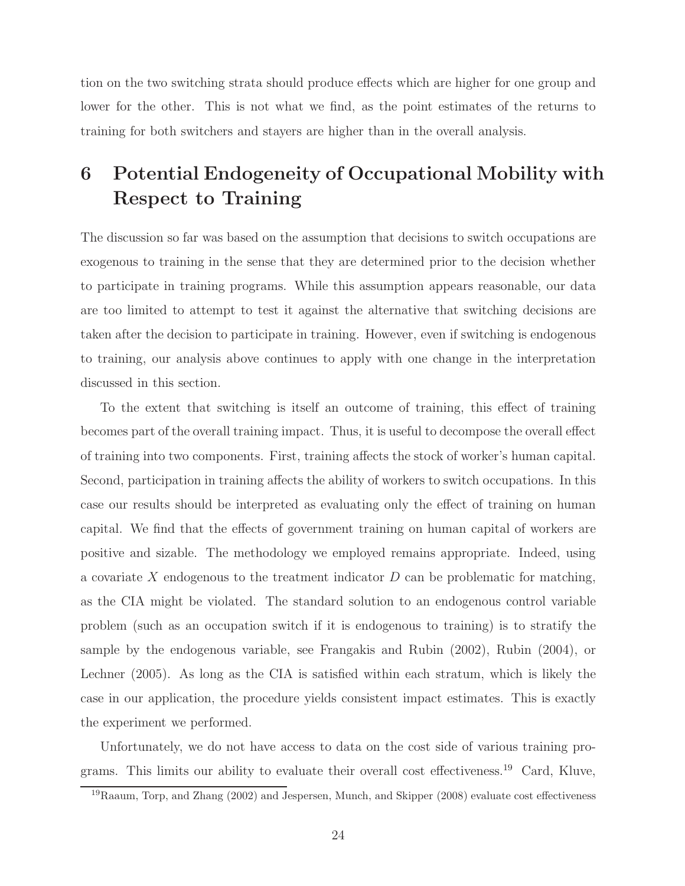tion on the two switching strata should produce effects which are higher for one group and lower for the other. This is not what we find, as the point estimates of the returns to training for both switchers and stayers are higher than in the overall analysis.

# 6 Potential Endogeneity of Occupational Mobility with Respect to Training

The discussion so far was based on the assumption that decisions to switch occupations are exogenous to training in the sense that they are determined prior to the decision whether to participate in training programs. While this assumption appears reasonable, our data are too limited to attempt to test it against the alternative that switching decisions are taken after the decision to participate in training. However, even if switching is endogenous to training, our analysis above continues to apply with one change in the interpretation discussed in this section.

To the extent that switching is itself an outcome of training, this effect of training becomes part of the overall training impact. Thus, it is useful to decompose the overall effect of training into two components. First, training affects the stock of worker's human capital. Second, participation in training affects the ability of workers to switch occupations. In this case our results should be interpreted as evaluating only the effect of training on human capital. We find that the effects of government training on human capital of workers are positive and sizable. The methodology we employed remains appropriate. Indeed, using a covariate X endogenous to the treatment indicator  $D$  can be problematic for matching, as the CIA might be violated. The standard solution to an endogenous control variable problem (such as an occupation switch if it is endogenous to training) is to stratify the sample by the endogenous variable, see Frangakis and Rubin (2002), Rubin (2004), or Lechner (2005). As long as the CIA is satisfied within each stratum, which is likely the case in our application, the procedure yields consistent impact estimates. This is exactly the experiment we performed.

Unfortunately, we do not have access to data on the cost side of various training programs. This limits our ability to evaluate their overall cost effectiveness.<sup>19</sup> Card, Kluve,

<sup>19</sup>Raaum, Torp, and Zhang (2002) and Jespersen, Munch, and Skipper (2008) evaluate cost effectiveness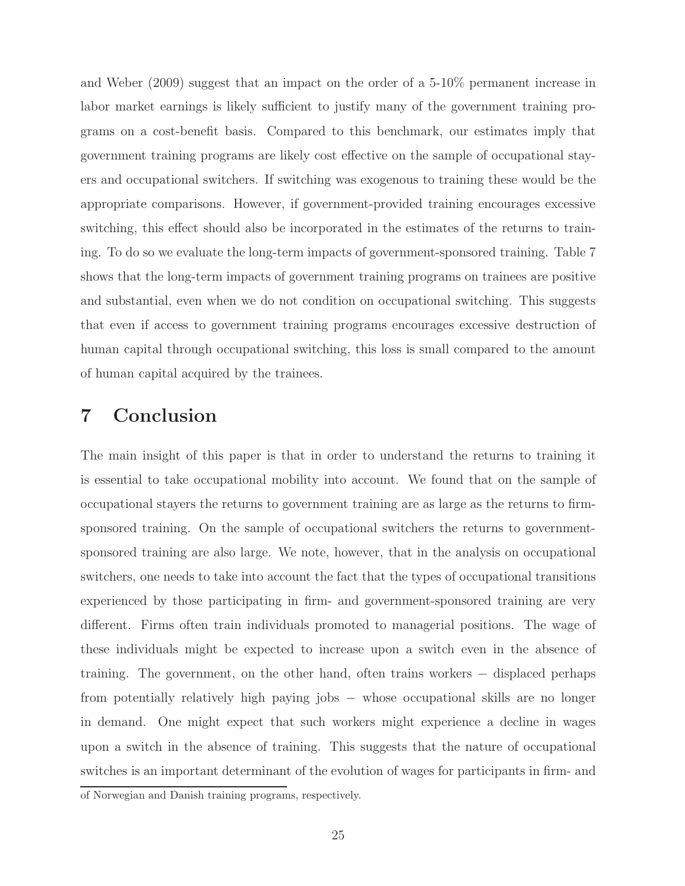and Weber (2009) suggest that an impact on the order of a 5-10% permanent increase in labor market earnings is likely sufficient to justify many of the government training programs on a cost-benefit basis. Compared to this benchmark, our estimates imply that government training programs are likely cost effective on the sample of occupational stayers and occupational switchers. If switching was exogenous to training these would be the appropriate comparisons. However, if government-provided training encourages excessive switching, this effect should also be incorporated in the estimates of the returns to training. To do so we evaluate the long-term impacts of government-sponsored training. Table 7 shows that the long-term impacts of government training programs on trainees are positive and substantial, even when we do not condition on occupational switching. This suggests that even if access to government training programs encourages excessive destruction of human capital through occupational switching, this loss is small compared to the amount of human capital acquired by the trainees.

# 7 Conclusion

The main insight of this paper is that in order to understand the returns to training it is essential to take occupational mobility into account. We found that on the sample of occupational stayers the returns to government training are as large as the returns to firmsponsored training. On the sample of occupational switchers the returns to governmentsponsored training are also large. We note, however, that in the analysis on occupational switchers, one needs to take into account the fact that the types of occupational transitions experienced by those participating in firm- and government-sponsored training are very different. Firms often train individuals promoted to managerial positions. The wage of these individuals might be expected to increase upon a switch even in the absence of training. The government, on the other hand, often trains workers − displaced perhaps from potentially relatively high paying jobs − whose occupational skills are no longer in demand. One might expect that such workers might experience a decline in wages upon a switch in the absence of training. This suggests that the nature of occupational switches is an important determinant of the evolution of wages for participants in firm- and

of Norwegian and Danish training programs, respectively.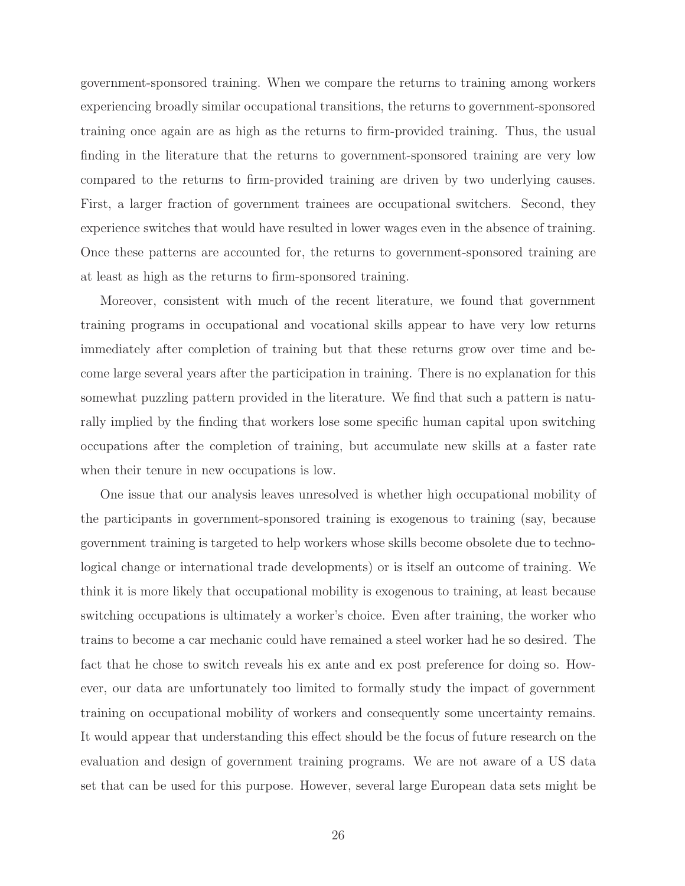government-sponsored training. When we compare the returns to training among workers experiencing broadly similar occupational transitions, the returns to government-sponsored training once again are as high as the returns to firm-provided training. Thus, the usual finding in the literature that the returns to government-sponsored training are very low compared to the returns to firm-provided training are driven by two underlying causes. First, a larger fraction of government trainees are occupational switchers. Second, they experience switches that would have resulted in lower wages even in the absence of training. Once these patterns are accounted for, the returns to government-sponsored training are at least as high as the returns to firm-sponsored training.

Moreover, consistent with much of the recent literature, we found that government training programs in occupational and vocational skills appear to have very low returns immediately after completion of training but that these returns grow over time and become large several years after the participation in training. There is no explanation for this somewhat puzzling pattern provided in the literature. We find that such a pattern is naturally implied by the finding that workers lose some specific human capital upon switching occupations after the completion of training, but accumulate new skills at a faster rate when their tenure in new occupations is low.

One issue that our analysis leaves unresolved is whether high occupational mobility of the participants in government-sponsored training is exogenous to training (say, because government training is targeted to help workers whose skills become obsolete due to technological change or international trade developments) or is itself an outcome of training. We think it is more likely that occupational mobility is exogenous to training, at least because switching occupations is ultimately a worker's choice. Even after training, the worker who trains to become a car mechanic could have remained a steel worker had he so desired. The fact that he chose to switch reveals his ex ante and ex post preference for doing so. However, our data are unfortunately too limited to formally study the impact of government training on occupational mobility of workers and consequently some uncertainty remains. It would appear that understanding this effect should be the focus of future research on the evaluation and design of government training programs. We are not aware of a US data set that can be used for this purpose. However, several large European data sets might be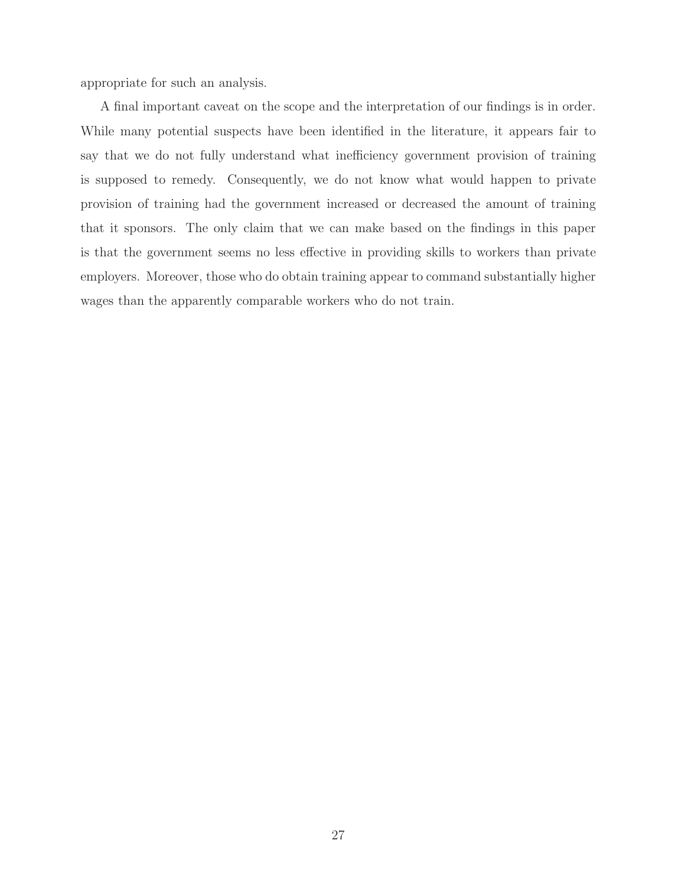appropriate for such an analysis.

A final important caveat on the scope and the interpretation of our findings is in order. While many potential suspects have been identified in the literature, it appears fair to say that we do not fully understand what inefficiency government provision of training is supposed to remedy. Consequently, we do not know what would happen to private provision of training had the government increased or decreased the amount of training that it sponsors. The only claim that we can make based on the findings in this paper is that the government seems no less effective in providing skills to workers than private employers. Moreover, those who do obtain training appear to command substantially higher wages than the apparently comparable workers who do not train.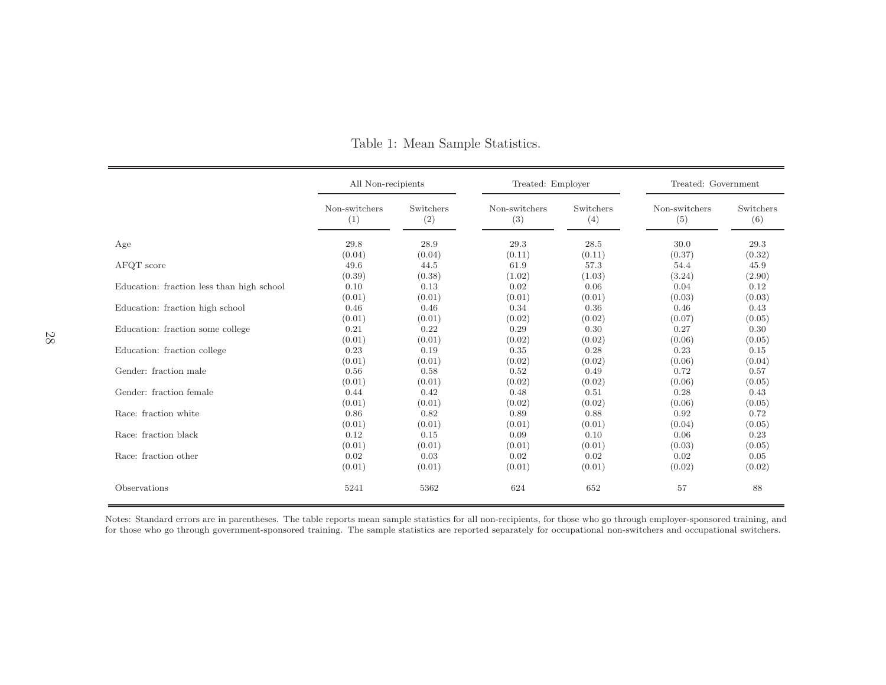|                                           | All Non-recipients |           | Treated: Employer |           | Treated: Government |           |
|-------------------------------------------|--------------------|-----------|-------------------|-----------|---------------------|-----------|
|                                           | Non-switchers      | Switchers | Non-switchers     | Switchers | Non-switchers       | Switchers |
|                                           | (1)                | (2)       | (3)               | (4)       | (5)                 | (6)       |
| Age                                       | 29.8               | 28.9      | 29.3              | 28.5      | 30.0                | 29.3      |
| AFQT score                                | (0.04)             | (0.04)    | (0.11)            | (0.11)    | (0.37)              | (0.32)    |
|                                           | 49.6               | 44.5      | 61.9              | 57.3      | 54.4                | 45.9      |
| Education: fraction less than high school | (0.39)             | (0.38)    | (1.02)            | (1.03)    | (3.24)              | (2.90)    |
|                                           | 0.10               | 0.13      | 0.02              | 0.06      | 0.04                | 0.12      |
|                                           | (0.01)             | (0.01)    | (0.01)            | (0.01)    | (0.03)              | (0.03)    |
| Education: fraction high school           | 0.46               | 0.46      | 0.34              | 0.36      | 0.46                | 0.43      |
|                                           | (0.01)             | (0.01)    | (0.02)            | (0.02)    | (0.07)              | (0.05)    |
| Education: fraction some college          | 0.21               | 0.22      | 0.29              | 0.30      | 0.27                | 0.30      |
|                                           | (0.01)             | (0.01)    | (0.02)            | (0.02)    | (0.06)              | (0.05)    |
| Education: fraction college               | 0.23               | 0.19      | 0.35              | 0.28      | 0.23                | 0.15      |
|                                           | (0.01)             | (0.01)    | (0.02)            | (0.02)    | (0.06)              | (0.04)    |
| Gender: fraction male                     | 0.56               | 0.58      | 0.52              | 0.49      | 0.72                | 0.57      |
|                                           | (0.01)             | (0.01)    | (0.02)            | (0.02)    | (0.06)              | (0.05)    |
| Gender: fraction female                   | 0.44               | 0.42      | 0.48              | 0.51      | 0.28                | 0.43      |
|                                           | (0.01)             | (0.01)    | (0.02)            | (0.02)    | (0.06)              | (0.05)    |
| Race: fraction white                      | 0.86               | 0.82      | 0.89              | 0.88      | 0.92                | 0.72      |
|                                           | (0.01)             | (0.01)    | (0.01)            | (0.01)    | (0.04)              | (0.05)    |
| Race: fraction black                      | 0.12               | 0.15      | 0.09              | 0.10      | 0.06                | 0.23      |
|                                           | (0.01)             | (0.01)    | (0.01)            | (0.01)    | (0.03)              | (0.05)    |
| Race: fraction other                      | 0.02               | 0.03      | 0.02              | 0.02      | 0.02                | 0.05      |
|                                           | (0.01)             | (0.01)    | (0.01)            | (0.01)    | (0.02)              | (0.02)    |
| Observations                              | 5241               | 5362      | 624               | 652       | 57                  | 88        |

Table 1: Mean Sample Statistics.

Notes: Standard errors are in parentheses. The table reports mean sample statistics for all non-recipients, for those who go through employer-sponsored training, and<br>for those who go through government-sponsored training.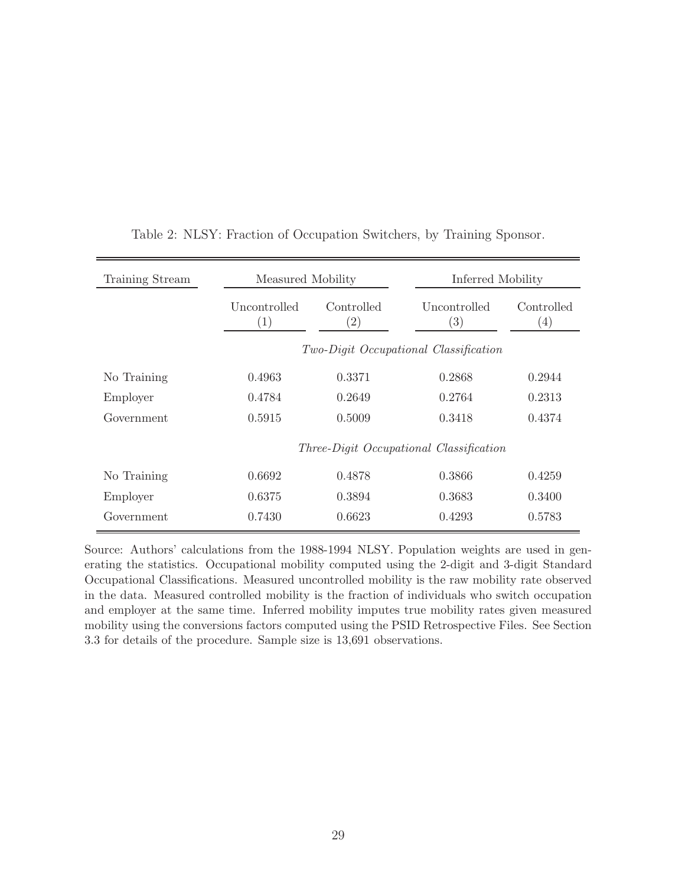| Training Stream | Measured Mobility                 |                                 | Inferred Mobility                       |                                |
|-----------------|-----------------------------------|---------------------------------|-----------------------------------------|--------------------------------|
|                 | Uncontrolled<br>$\left( 1\right)$ | Controlled<br>$\left( 2\right)$ | Uncontrolled<br>$\left(3\right)$        | Controlled<br>$\left(4\right)$ |
|                 |                                   |                                 | Two-Digit Occupational Classification   |                                |
| No Training     | 0.4963                            | 0.3371                          | 0.2868                                  | 0.2944                         |
| Employer        | 0.4784                            | 0.2649                          | 0.2764                                  | 0.2313                         |
| Government      | 0.5915                            | 0.5009                          | 0.3418                                  | 0.4374                         |
|                 |                                   |                                 | Three-Digit Occupational Classification |                                |
| No Training     | 0.6692                            | 0.4878                          | 0.3866                                  | 0.4259                         |
| Employer        | 0.6375                            | 0.3894                          | 0.3683                                  | 0.3400                         |
| Government      | 0.7430                            | 0.6623                          | 0.4293                                  | 0.5783                         |

Table 2: NLSY: Fraction of Occupation Switchers, by Training Sponsor.

Source: Authors' calculations from the 1988-1994 NLSY. Population weights are used in generating the statistics. Occupational mobility computed using the 2-digit and 3-digit Standard Occupational Classifications. Measured uncontrolled mobility is the raw mobility rate observed in the data. Measured controlled mobility is the fraction of individuals who switch occupation and employer at the same time. Inferred mobility imputes true mobility rates given measured mobility using the conversions factors computed using the PSID Retrospective Files. See Section 3.3 for details of the procedure. Sample size is 13,691 observations.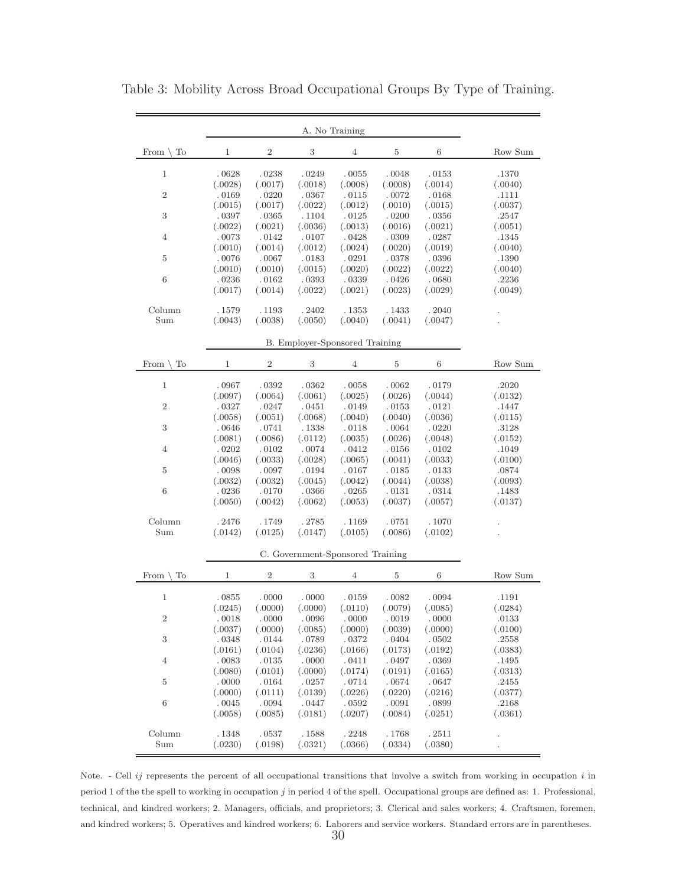|                        |                  |                  |                                  | A. No Training   |                         |                  |                  |
|------------------------|------------------|------------------|----------------------------------|------------------|-------------------------|------------------|------------------|
| To<br>From $\setminus$ | 1                | $\,2$            | $\,3$                            | $\overline{4}$   | 5                       | 6                | Row Sum          |
| $\mathbf 1$            | .0628            | .0238            | .0249                            | .0055            | .0048                   | .0153            | .1370            |
|                        | (.0028)          | (.0017)          | (.0018)                          | (.0008)          | (.0008)                 | (.0014)          | (.0040)          |
| $\,2$                  | .0169            | .0220            | .0367                            | .0115            | .0072                   | .0168            | .1111            |
|                        | (.0015)          | (.0017)          | (.0022)                          | (.0012)          | (.0010)                 | (.0015)          | (.0037)          |
| 3                      | .0397            | .0365            | .1104                            | .0125            | .0200                   | .0356            | .2547            |
| 4                      | (.0022)          | (.0021)          | (.0036)<br>.0107                 | (.0013)          | (.0016)<br>$\ldotp0309$ | (.0021)          | (.0051)          |
|                        | .0073<br>(.0010) | .0142<br>(.0014) | (.0012)                          | .0428<br>(.0024) | (.0020)                 | .0287<br>(.0019) | .1345<br>(.0040) |
| 5                      | .0076            | .0067            | .0183                            | .0291            | .0378                   | .0396            | .1390            |
|                        | (.0010)          | (.0010)          | (.0015)                          | (.0020)          | (.0022)                 | (.0022)          | (.0040)          |
| $\,6\,$                | .0236            | .0162            | .0393                            | .0339            | $. \, 0426$             | .0680            | .2236            |
|                        | (.0017)          | (.0014)          | (.0022)                          | (.0021)          | (.0023)                 | (.0029)          | (.0049)          |
| Column                 | .1579            | .1193            | . 2402                           | .1353            | . 1433                  | .2040            |                  |
| Sum                    | (.0043)          | (.0038)          | (.0050)                          | (.0040)          | (.0041)                 | (.0047)          |                  |
|                        |                  |                  | B. Employer-Sponsored Training   |                  |                         |                  |                  |
|                        |                  |                  |                                  |                  |                         |                  |                  |
| To<br>From \           | 1                | $\overline{2}$   | $\,3$                            | $\overline{4}$   | $\bf 5$                 | 6                | Row Sum          |
| $\mathbf 1$            | .0967            | .0392            | .0362                            | .0058            | .0062                   | .0179            | .2020            |
|                        | (.0097)          | (.0064)          | (.0061)                          | (.0025)          | (.0026)                 | (.0044)          | (.0132)          |
| $\,2$                  | .0327            | .0247            | .0451                            | .0149            | .0153                   | .0121            | .1447            |
|                        | (.0058)          | (.0051)          | (.0068)                          | (.0040)          | (.0040)                 | (.0036)          | (.0115)          |
| $\,3$                  | .0646            | .0741            | .1338                            | .0118            | .0064                   | .0220            | .3128            |
|                        | (.0081)          | (.0086)          | (.0112)                          | (.0035)          | (.0026)                 | (.0048)          | (.0152)          |
| 4                      | .0202            | .0102            | .0074                            | .0412            | .0156                   | .0102            | .1049            |
|                        | (.0046)          | (.0033)          | (.0028)                          | (.0065)          | (.0041)                 | (.0033)          | (.0100)          |
| 5                      | .0098<br>(.0032) | .0097<br>(.0032) | .0194<br>(.0045)                 | .0167<br>(.0042) | .0185<br>(.0044)        | .0133<br>(.0038) | .0874            |
| $\,6$                  | .0236            | .0170            | .0366                            | .0265            | .0131                   | .0314            | (.0093)<br>.1483 |
|                        | (.0050)          | (.0042)          | (.0062)                          | (.0053)          | (.0037)                 | (.0057)          | (.0137)          |
|                        |                  |                  |                                  |                  |                         |                  |                  |
| Column                 | .2476            | .1749            | .2785                            | .1169            | .0751                   | .1070            |                  |
| Sum                    | (.0142)          | (.0125)          | (.0147)                          | (.0105)          | (.0086)                 | (.0102)          |                  |
|                        |                  |                  | C. Government-Sponsored Training |                  |                         |                  |                  |
|                        |                  |                  |                                  |                  |                         |                  |                  |
| To<br>From $\setminus$ | 1                | $\,2$            | 3                                | $\overline{4}$   | 5                       | 6                | Row Sum          |
| 1                      | .0855            | .0000            | .0000                            | .0159            | .0082                   | .0094            | .1191            |
|                        | (.0245)          | (.0000)          | (.0000)                          | (.0110)          | (.0079)                 | (.0085)          | (.0284)          |
| $\boldsymbol{2}$       | .0018            | .0000            | .0096                            | $\,$ .0000 $\,$  | .0019                   | $\,$ .0000 $\,$  | .0133            |
|                        | (.0037)          | (.0000)          | (.0085)                          | (.0000)          | (.0039)                 | (.0000)          | (.0100)          |
| $\sqrt{3}$             | .0348            | .0144            | .0789                            | .0372            | .0404                   | .0502            | .2558            |
|                        | (.0161)          | (.0104)          | (.0236)                          | (.0166)          | (.0173)                 | (.0192)          | (.0383)          |
| $\overline{4}$         | .0083            | .0135            | $\ldotp 0000$                    | .0411            | .0497                   | .0369            | .1495            |
|                        | (.0080)          | (.0101)          | (.0000)                          | (.0174)          | (.0191)                 | (.0165)          | (.0313)          |
| 5                      | $. \; 0000$      | .0164            | .0257                            | .0714            | .0674                   | .0647            | .2455            |
| $\,6\,$                | (.0000)<br>.0045 | (.0111)          | (.0139)                          | (.0226)          | (.0220)                 | (.0216)          | (.0377)          |
|                        | (.0058)          | .0094<br>(.0085) | .0447<br>(.0181)                 | .0592<br>(.0207) | .0091<br>(.0084)        | .0899<br>(.0251) | .2168<br>(.0361) |
|                        |                  |                  |                                  |                  |                         |                  |                  |
| Column                 | .1348            | .0537            | .1588                            | .2248            | .1768                   | .2511            |                  |
| Sum                    | (.0230)          | (.0198)          | (.0321)                          | (.0366)          | (.0334)                 | (.0380)          |                  |

Table 3: Mobility Across Broad Occupational Groups By Type of Training.

Note.  $\sim$  Cell *ij* represents the percent of all occupational transitions that involve a switch from working in occupation *i* in period 1 of the the spell to working in occupation j in period 4 of the spell. Occupational groups are defined as: 1. Professional, technical, and kindred workers; 2. Managers, officials, and proprietors; 3. Clerical and sales workers; 4. Craftsmen, foremen, and kindred workers; 5. Operatives and kindred workers; 6. Laborers and service workers. Standard errors are in parentheses.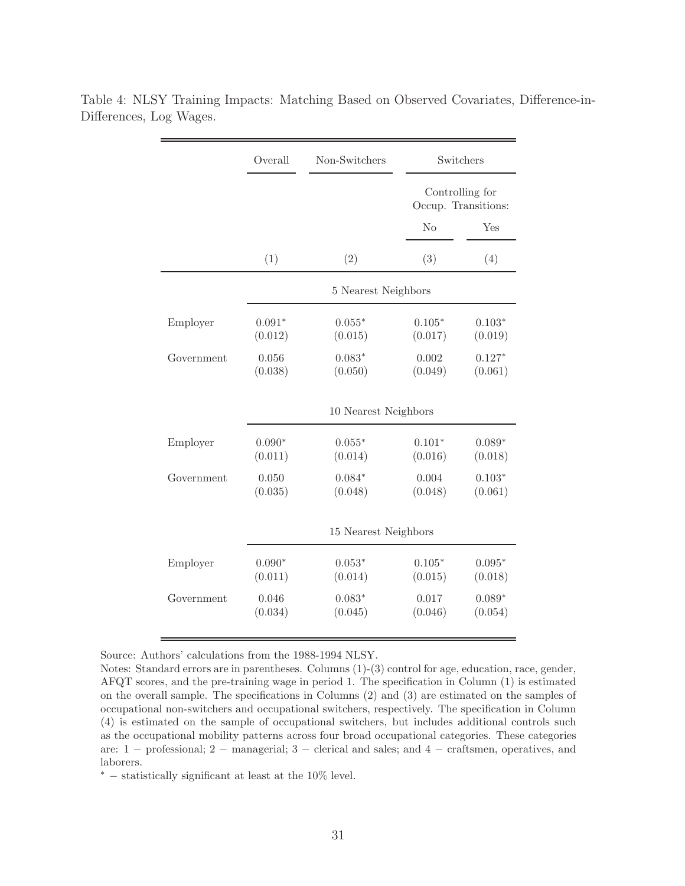| Overall              | Non-Switchers       |                     | Switchers                                   |  |  |  |
|----------------------|---------------------|---------------------|---------------------------------------------|--|--|--|
|                      |                     |                     | Controlling for<br>Occup. Transitions:      |  |  |  |
|                      |                     | N <sub>o</sub>      | Yes                                         |  |  |  |
| (1)                  | (2)                 | (3)                 | (4)                                         |  |  |  |
|                      |                     |                     |                                             |  |  |  |
| $0.091*$<br>(0.012)  | $0.055*$<br>(0.015) | $0.105*$<br>(0.017) | $0.103*$<br>(0.019)                         |  |  |  |
| 0.056<br>(0.038)     | $0.083*$<br>(0.050) | 0.002<br>(0.049)    | $0.127*$<br>(0.061)                         |  |  |  |
| 10 Nearest Neighbors |                     |                     |                                             |  |  |  |
| $0.090*$<br>(0.011)  | $0.055*$<br>(0.014) | $0.101*$<br>(0.016) | $0.089*$<br>(0.018)                         |  |  |  |
| 0.050<br>(0.035)     | $0.084*$<br>(0.048) | 0.004<br>(0.048)    | $0.103*$<br>(0.061)                         |  |  |  |
|                      |                     |                     |                                             |  |  |  |
| $0.090*$<br>(0.011)  | $0.053*$<br>(0.014) | $0.105*$<br>(0.015) | $0.095*$<br>(0.018)                         |  |  |  |
| 0.046<br>(0.034)     | $0.083*$<br>(0.045) | 0.017<br>(0.046)    | $0.089*$<br>(0.054)                         |  |  |  |
|                      |                     |                     | 5 Nearest Neighbors<br>15 Nearest Neighbors |  |  |  |

Table 4: NLSY Training Impacts: Matching Based on Observed Covariates, Difference-in-Differences, Log Wages.

Source: Authors' calculations from the 1988-1994 NLSY.

Notes: Standard errors are in parentheses. Columns (1)-(3) control for age, education, race, gender, AFQT scores, and the pre-training wage in period 1. The specification in Column (1) is estimated on the overall sample. The specifications in Columns (2) and (3) are estimated on the samples of occupational non-switchers and occupational switchers, respectively. The specification in Column (4) is estimated on the sample of occupational switchers, but includes additional controls such as the occupational mobility patterns across four broad occupational categories. These categories are: 1 − professional; 2 − managerial; 3 − clerical and sales; and 4 − craftsmen, operatives, and laborers.

<sup>∗</sup> − statistically significant at least at the 10% level.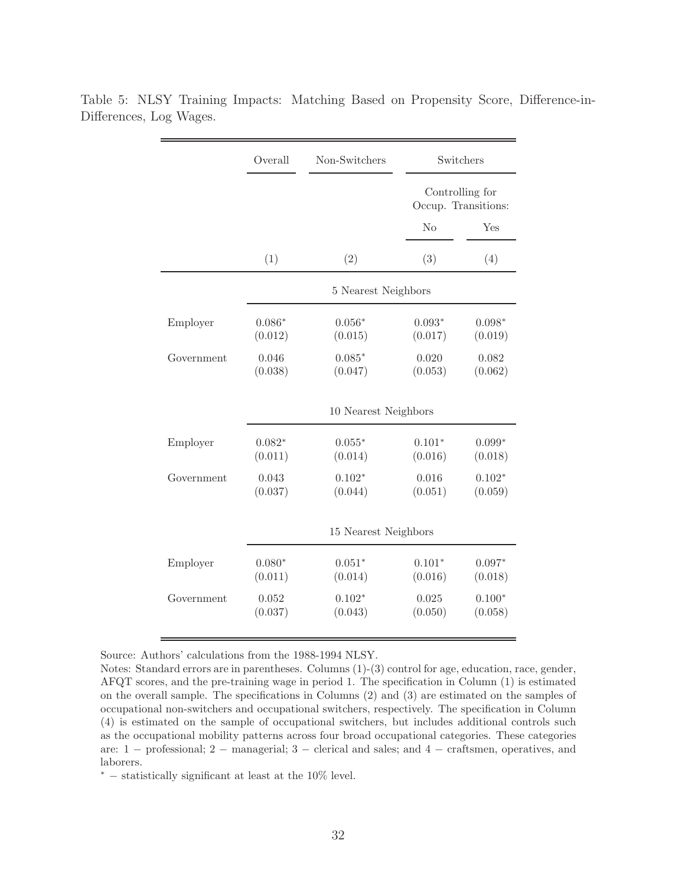|            | Overall              | Non-Switchers        |                     | Switchers                              |  |  |  |
|------------|----------------------|----------------------|---------------------|----------------------------------------|--|--|--|
|            |                      |                      |                     | Controlling for<br>Occup. Transitions: |  |  |  |
|            |                      |                      | Yes                 |                                        |  |  |  |
|            | (1)                  | (2)                  | (3)                 | (4)                                    |  |  |  |
|            |                      | 5 Nearest Neighbors  |                     |                                        |  |  |  |
| Employer   | $0.086*$<br>(0.012)  | $0.056*$<br>(0.015)  | $0.093*$<br>(0.017) | $0.098*$<br>(0.019)                    |  |  |  |
| Government | 0.046<br>(0.038)     | $0.085*$<br>(0.047)  | 0.020<br>(0.053)    | 0.082<br>(0.062)                       |  |  |  |
|            | 10 Nearest Neighbors |                      |                     |                                        |  |  |  |
| Employer   | $0.082*$<br>(0.011)  | $0.055*$<br>(0.014)  | $0.101*$<br>(0.016) | $0.099*$<br>(0.018)                    |  |  |  |
| Government | 0.043<br>(0.037)     | $0.102*$<br>(0.044)  | 0.016<br>(0.051)    | $0.102*$<br>(0.059)                    |  |  |  |
|            |                      | 15 Nearest Neighbors |                     |                                        |  |  |  |
| Employer   | $0.080*$<br>(0.011)  | $0.051*$<br>(0.014)  | $0.101*$<br>(0.016) | $0.097*$<br>(0.018)                    |  |  |  |
| Government | 0.052<br>(0.037)     | $0.102*$<br>(0.043)  | 0.025<br>(0.050)    | $0.100*$<br>(0.058)                    |  |  |  |

Table 5: NLSY Training Impacts: Matching Based on Propensity Score, Difference-in-Differences, Log Wages.

Source: Authors' calculations from the 1988-1994 NLSY.

Notes: Standard errors are in parentheses. Columns (1)-(3) control for age, education, race, gender, AFQT scores, and the pre-training wage in period 1. The specification in Column (1) is estimated on the overall sample. The specifications in Columns (2) and (3) are estimated on the samples of occupational non-switchers and occupational switchers, respectively. The specification in Column (4) is estimated on the sample of occupational switchers, but includes additional controls such as the occupational mobility patterns across four broad occupational categories. These categories are: 1 − professional; 2 − managerial; 3 − clerical and sales; and 4 − craftsmen, operatives, and laborers.

<sup>∗</sup> − statistically significant at least at the 10% level.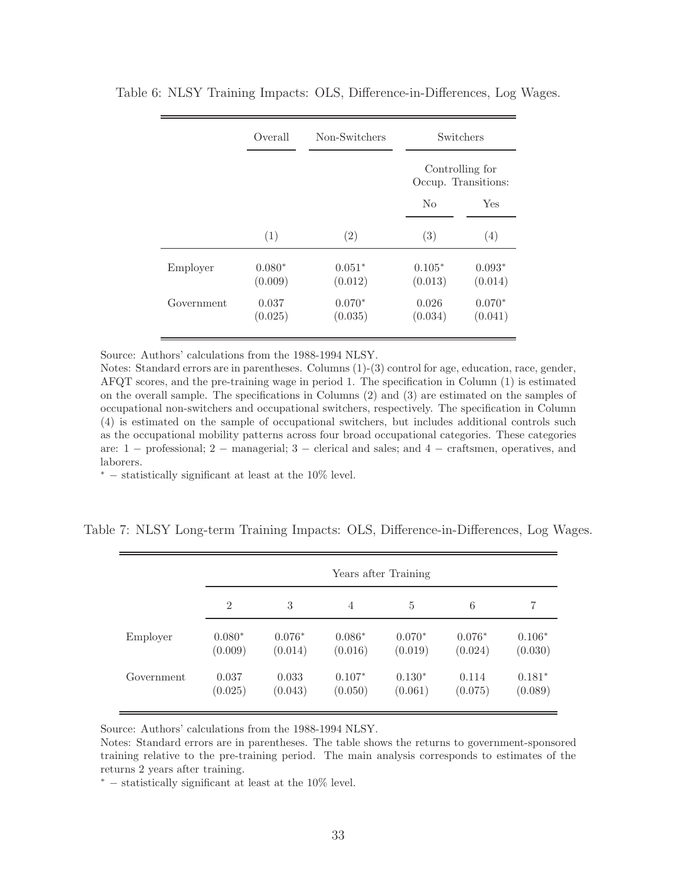|            | Overall             | Non-Switchers       |                     | Switchers                              |
|------------|---------------------|---------------------|---------------------|----------------------------------------|
|            |                     |                     |                     | Controlling for<br>Occup. Transitions: |
|            |                     |                     | $\rm No$            | Yes                                    |
|            | (1)                 | (2)                 | (3)                 | (4)                                    |
| Employer   | $0.080*$<br>(0.009) | $0.051*$<br>(0.012) | $0.105*$<br>(0.013) | $0.093*$<br>(0.014)                    |
| Government | 0.037<br>(0.025)    | $0.070*$<br>(0.035) | 0.026<br>(0.034)    | $0.070*$<br>(0.041)                    |

Table 6: NLSY Training Impacts: OLS, Difference-in-Differences, Log Wages.

Source: Authors' calculations from the 1988-1994 NLSY.

Notes: Standard errors are in parentheses. Columns (1)-(3) control for age, education, race, gender, AFQT scores, and the pre-training wage in period 1. The specification in Column (1) is estimated on the overall sample. The specifications in Columns (2) and (3) are estimated on the samples of occupational non-switchers and occupational switchers, respectively. The specification in Column (4) is estimated on the sample of occupational switchers, but includes additional controls such as the occupational mobility patterns across four broad occupational categories. These categories are: 1 − professional; 2 − managerial; 3 − clerical and sales; and 4 − craftsmen, operatives, and laborers.

 $*$  – statistically significant at least at the 10\% level.

Table 7: NLSY Long-term Training Impacts: OLS, Difference-in-Differences, Log Wages.

|            | Years after Training |          |          |          |          |          |  |  |
|------------|----------------------|----------|----------|----------|----------|----------|--|--|
|            | $\overline{2}$       | 3        | 4        | 5        | 6        | 7        |  |  |
| Employer   | $0.080*$             | $0.076*$ | $0.086*$ | $0.070*$ | $0.076*$ | $0.106*$ |  |  |
|            | (0.009)              | (0.014)  | (0.016)  | (0.019)  | (0.024)  | (0.030)  |  |  |
| Government | 0.037                | 0.033    | $0.107*$ | $0.130*$ | 0.114    | $0.181*$ |  |  |
|            | (0.025)              | (0.043)  | (0.050)  | (0.061)  | (0.075)  | (0.089)  |  |  |

Source: Authors' calculations from the 1988-1994 NLSY.

Notes: Standard errors are in parentheses. The table shows the returns to government-sponsored training relative to the pre-training period. The main analysis corresponds to estimates of the returns 2 years after training.

 $*$  – statistically significant at least at the 10% level.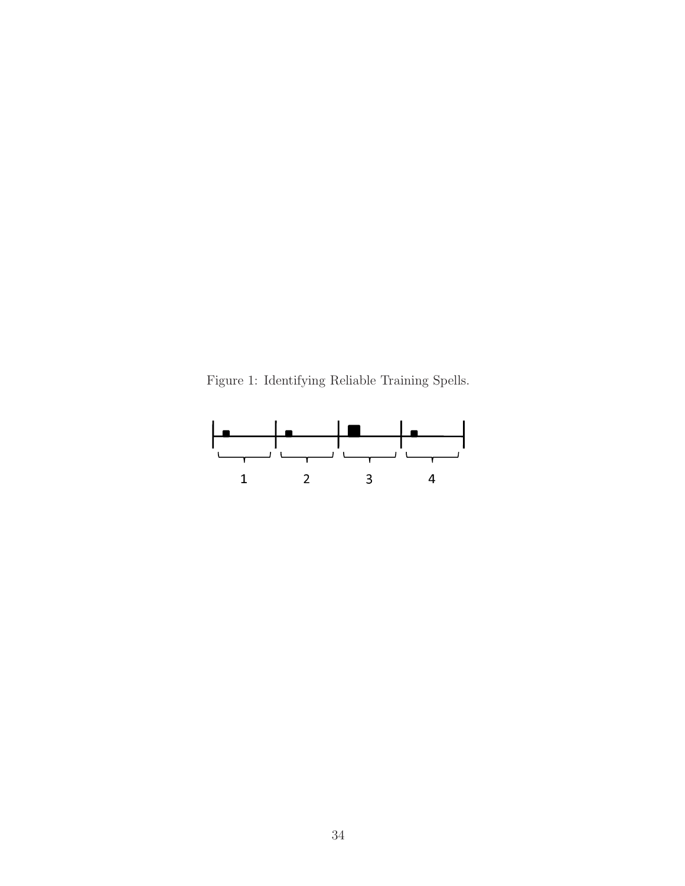Figure 1: Identifying Reliable Training Spells.

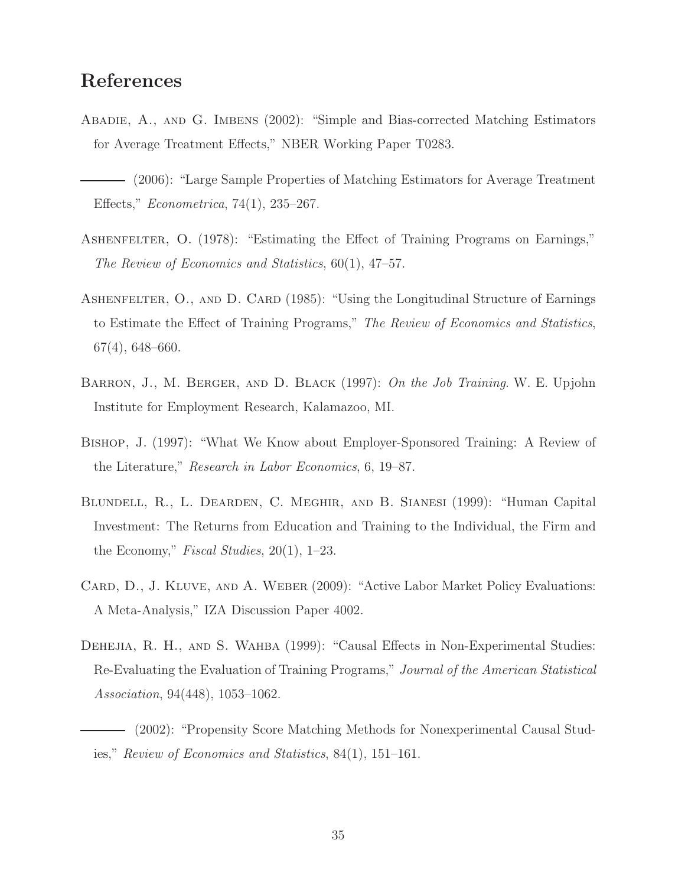## References

- Abadie, A., and G. Imbens (2002): "Simple and Bias-corrected Matching Estimators for Average Treatment Effects," NBER Working Paper T0283.
- (2006): "Large Sample Properties of Matching Estimators for Average Treatment Effects," Econometrica, 74(1), 235–267.
- ASHENFELTER, O. (1978): "Estimating the Effect of Training Programs on Earnings," The Review of Economics and Statistics, 60(1), 47–57.
- ASHENFELTER, O., AND D. CARD (1985): "Using the Longitudinal Structure of Earnings to Estimate the Effect of Training Programs," The Review of Economics and Statistics, 67(4), 648–660.
- BARRON, J., M. BERGER, AND D. BLACK (1997): On the Job Training. W. E. Upjohn Institute for Employment Research, Kalamazoo, MI.
- Bishop, J. (1997): "What We Know about Employer-Sponsored Training: A Review of the Literature," Research in Labor Economics, 6, 19–87.
- Blundell, R., L. Dearden, C. Meghir, and B. Sianesi (1999): "Human Capital Investment: The Returns from Education and Training to the Individual, the Firm and the Economy," Fiscal Studies, 20(1), 1–23.
- CARD, D., J. KLUVE, AND A. WEBER (2009): "Active Labor Market Policy Evaluations: A Meta-Analysis," IZA Discussion Paper 4002.
- DEHEJIA, R. H., AND S. WAHBA (1999): "Causal Effects in Non-Experimental Studies: Re-Evaluating the Evaluation of Training Programs," Journal of the American Statistical Association, 94(448), 1053–1062.
	- (2002): "Propensity Score Matching Methods for Nonexperimental Causal Studies," Review of Economics and Statistics, 84(1), 151–161.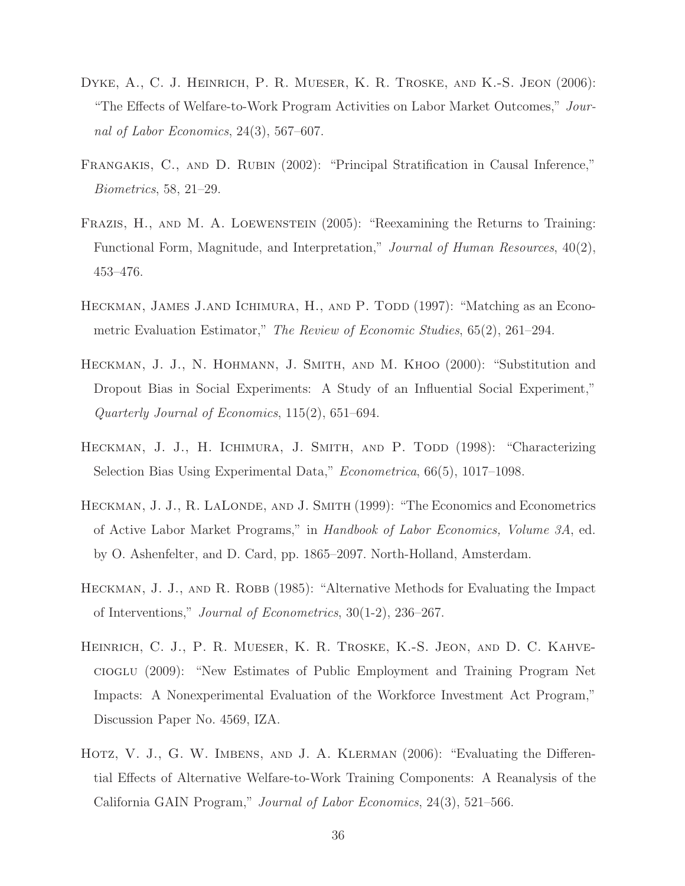- Dyke, A., C. J. Heinrich, P. R. Mueser, K. R. Troske, and K.-S. Jeon (2006): "The Effects of Welfare-to-Work Program Activities on Labor Market Outcomes," Journal of Labor Economics, 24(3), 567–607.
- FRANGAKIS, C., AND D. RUBIN (2002): "Principal Stratification in Causal Inference," Biometrics, 58, 21–29.
- FRAZIS, H., AND M. A. LOEWENSTEIN (2005): "Reexamining the Returns to Training: Functional Form, Magnitude, and Interpretation," Journal of Human Resources, 40(2), 453–476.
- HECKMAN, JAMES J.AND ICHIMURA, H., AND P. TODD (1997): "Matching as an Econometric Evaluation Estimator," The Review of Economic Studies, 65(2), 261–294.
- HECKMAN, J. J., N. HOHMANN, J. SMITH, AND M. KHOO (2000): "Substitution and Dropout Bias in Social Experiments: A Study of an Influential Social Experiment," Quarterly Journal of Economics, 115(2), 651–694.
- HECKMAN, J. J., H. ICHIMURA, J. SMITH, AND P. TODD (1998): "Characterizing Selection Bias Using Experimental Data," Econometrica, 66(5), 1017–1098.
- HECKMAN, J. J., R. LALONDE, AND J. SMITH (1999): "The Economics and Econometrics of Active Labor Market Programs," in Handbook of Labor Economics, Volume 3A, ed. by O. Ashenfelter, and D. Card, pp. 1865–2097. North-Holland, Amsterdam.
- HECKMAN, J. J., AND R. ROBB (1985): "Alternative Methods for Evaluating the Impact of Interventions," Journal of Econometrics, 30(1-2), 236–267.
- Heinrich, C. J., P. R. Mueser, K. R. Troske, K.-S. Jeon, and D. C. Kahvecioglu (2009): "New Estimates of Public Employment and Training Program Net Impacts: A Nonexperimental Evaluation of the Workforce Investment Act Program," Discussion Paper No. 4569, IZA.
- HOTZ, V. J., G. W. IMBENS, AND J. A. KLERMAN (2006): "Evaluating the Differential Effects of Alternative Welfare-to-Work Training Components: A Reanalysis of the California GAIN Program," Journal of Labor Economics, 24(3), 521–566.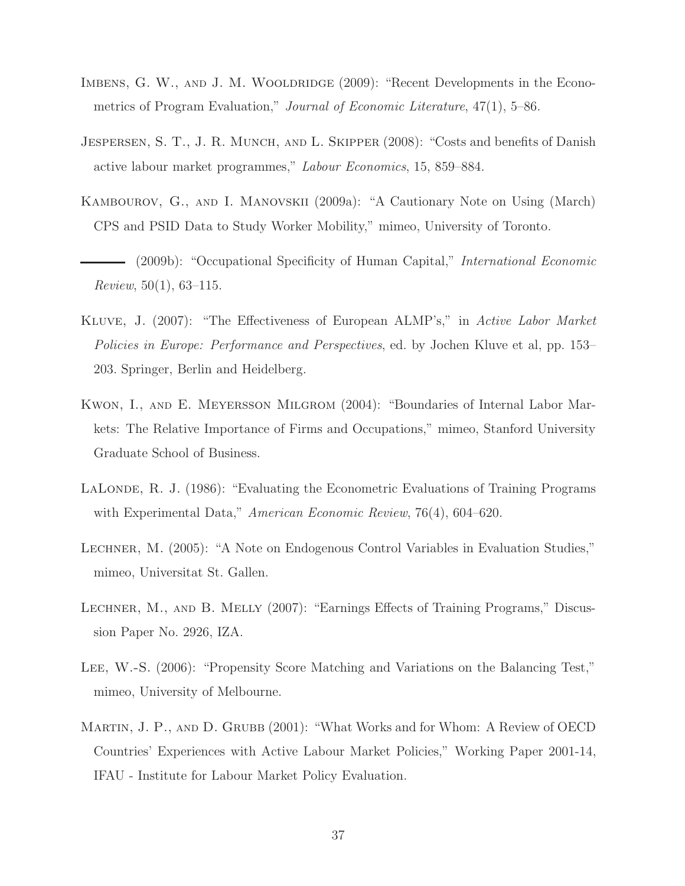- IMBENS, G. W., AND J. M. WOOLDRIDGE (2009): "Recent Developments in the Econometrics of Program Evaluation," Journal of Economic Literature, 47(1), 5–86.
- JESPERSEN, S. T., J. R. MUNCH, AND L. SKIPPER (2008): "Costs and benefits of Danish active labour market programmes," Labour Economics, 15, 859–884.
- Kambourov, G., and I. Manovskii (2009a): "A Cautionary Note on Using (March) CPS and PSID Data to Study Worker Mobility," mimeo, University of Toronto.
- (2009b): "Occupational Specificity of Human Capital," *International Economic* Review, 50(1), 63–115.
- Kluve, J. (2007): "The Effectiveness of European ALMP's," in Active Labor Market Policies in Europe: Performance and Perspectives, ed. by Jochen Kluve et al, pp. 153– 203. Springer, Berlin and Heidelberg.
- Kwon, I., and E. Meyersson Milgrom (2004): "Boundaries of Internal Labor Markets: The Relative Importance of Firms and Occupations," mimeo, Stanford University Graduate School of Business.
- LALONDE, R. J. (1986): "Evaluating the Econometric Evaluations of Training Programs with Experimental Data," American Economic Review, 76(4), 604–620.
- Lechner, M. (2005): "A Note on Endogenous Control Variables in Evaluation Studies," mimeo, Universitat St. Gallen.
- LECHNER, M., AND B. MELLY (2007): "Earnings Effects of Training Programs," Discussion Paper No. 2926, IZA.
- Lee, W.-S. (2006): "Propensity Score Matching and Variations on the Balancing Test," mimeo, University of Melbourne.
- MARTIN, J. P., AND D. GRUBB (2001): "What Works and for Whom: A Review of OECD Countries' Experiences with Active Labour Market Policies," Working Paper 2001-14, IFAU - Institute for Labour Market Policy Evaluation.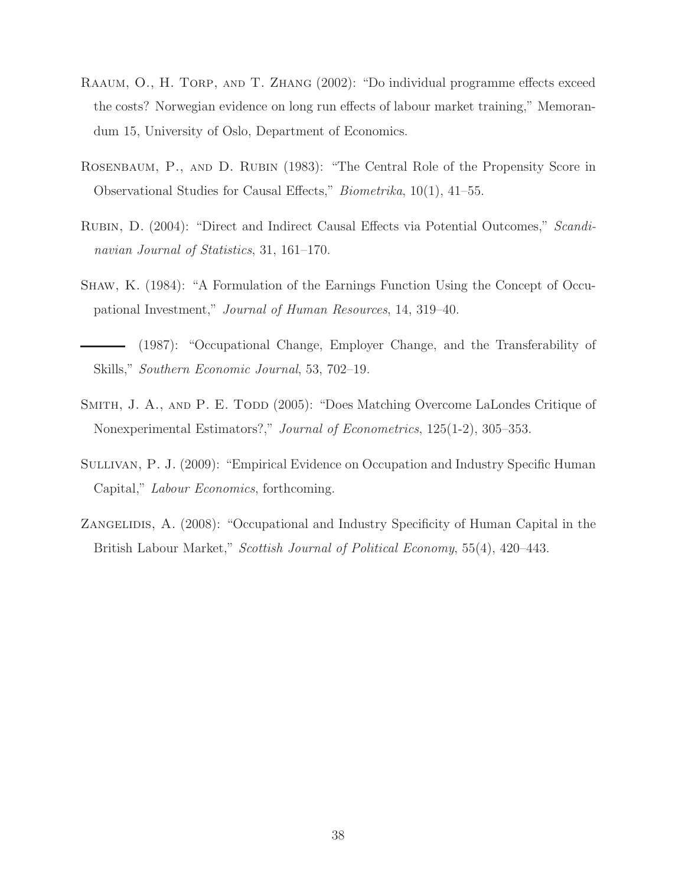- Raaum, O., H. Torp, and T. Zhang (2002): "Do individual programme effects exceed the costs? Norwegian evidence on long run effects of labour market training," Memorandum 15, University of Oslo, Department of Economics.
- Rosenbaum, P., and D. Rubin (1983): "The Central Role of the Propensity Score in Observational Studies for Causal Effects," Biometrika, 10(1), 41–55.
- Rubin, D. (2004): "Direct and Indirect Causal Effects via Potential Outcomes," Scandinavian Journal of Statistics, 31, 161–170.
- Shaw, K. (1984): "A Formulation of the Earnings Function Using the Concept of Occupational Investment," Journal of Human Resources, 14, 319–40.
- (1987): "Occupational Change, Employer Change, and the Transferability of Skills," Southern Economic Journal, 53, 702–19.
- SMITH, J. A., AND P. E. TODD (2005): "Does Matching Overcome LaLondes Critique of Nonexperimental Estimators?," Journal of Econometrics, 125(1-2), 305–353.
- SULLIVAN, P. J. (2009): "Empirical Evidence on Occupation and Industry Specific Human Capital," Labour Economics, forthcoming.
- ZANGELIDIS, A. (2008): "Occupational and Industry Specificity of Human Capital in the British Labour Market," Scottish Journal of Political Economy, 55(4), 420–443.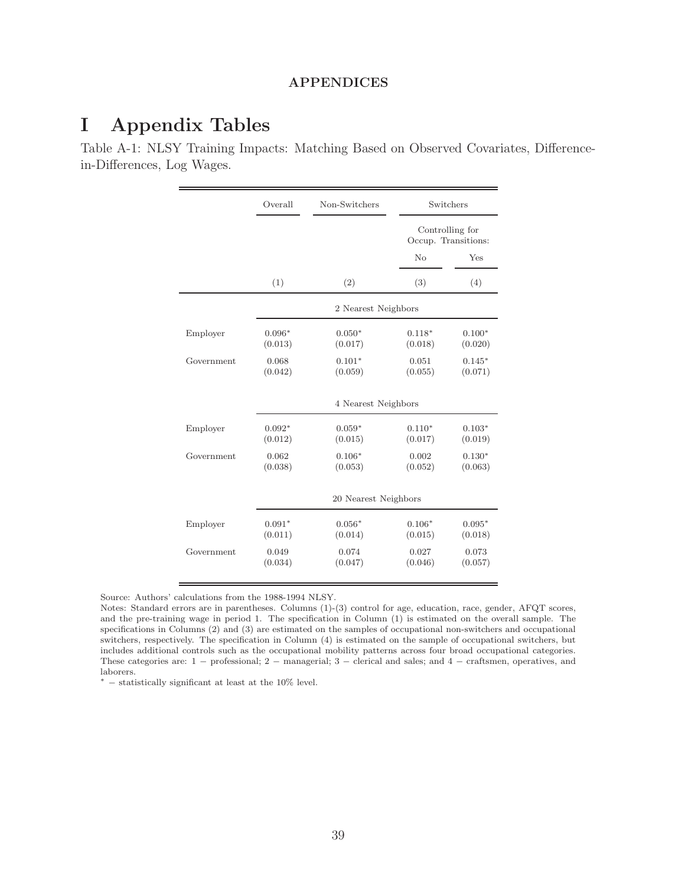#### APPENDICES

# I Appendix Tables

Table A-1: NLSY Training Impacts: Matching Based on Observed Covariates, Differencein-Differences, Log Wages.

|            | Overall             | Non-Switchers        |                     | Switchers                              |
|------------|---------------------|----------------------|---------------------|----------------------------------------|
|            |                     |                      |                     | Controlling for<br>Occup. Transitions: |
|            |                     |                      | No                  | Yes                                    |
|            | (1)                 | (2)                  | (3)                 | (4)                                    |
|            |                     | 2 Nearest Neighbors  |                     |                                        |
| Employer   | $0.096*$<br>(0.013) | $0.050*$<br>(0.017)  | $0.118*$<br>(0.018) | $0.100*$<br>(0.020)                    |
| Government | 0.068<br>(0.042)    | $0.101*$<br>(0.059)  | 0.051<br>(0.055)    | $0.145*$<br>(0.071)                    |
|            |                     | 4 Nearest Neighbors  |                     |                                        |
| Employer   | $0.092*$<br>(0.012) | $0.059*$<br>(0.015)  | $0.110*$<br>(0.017) | $0.103*$<br>(0.019)                    |
| Government | 0.062<br>(0.038)    | $0.106*$<br>(0.053)  | 0.002<br>(0.052)    | $0.130*$<br>(0.063)                    |
|            |                     | 20 Nearest Neighbors |                     |                                        |
| Employer   | $0.091*$<br>(0.011) | $0.056*$<br>(0.014)  | $0.106*$<br>(0.015) | $0.095*$<br>(0.018)                    |
| Government | 0.049<br>(0.034)    | 0.074<br>(0.047)     | 0.027<br>(0.046)    | 0.073<br>(0.057)                       |

Source: Authors' calculations from the 1988-1994 NLSY.

<sup>∗</sup> − statistically significant at least at the 10% level.

Notes: Standard errors are in parentheses. Columns (1)-(3) control for age, education, race, gender, AFQT scores, and the pre-training wage in period 1. The specification in Column (1) is estimated on the overall sample. The specifications in Columns (2) and (3) are estimated on the samples of occupational non-switchers and occupational switchers, respectively. The specification in Column (4) is estimated on the sample of occupational switchers, but includes additional controls such as the occupational mobility patterns across four broad occupational categories. These categories are: 1 − professional; 2 − managerial; 3 − clerical and sales; and 4 − craftsmen, operatives, and laborers.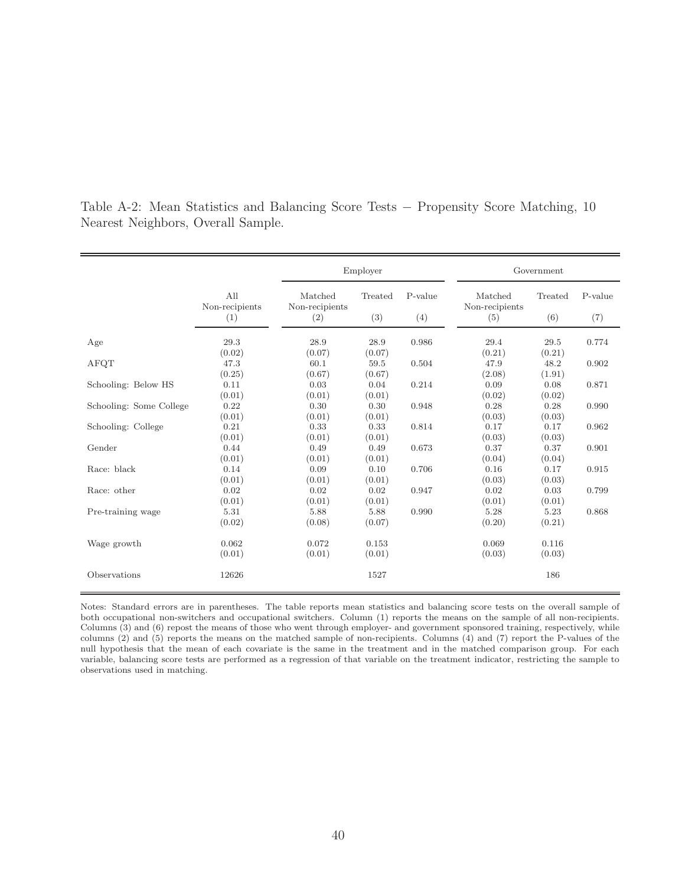|                         |                       |                           | Employer |         |                           | Government |         |  |
|-------------------------|-----------------------|---------------------------|----------|---------|---------------------------|------------|---------|--|
|                         | All<br>Non-recipients | Matched<br>Non-recipients | Treated  | P-value | Matched<br>Non-recipients | Treated    | P-value |  |
|                         | (1)                   | (2)                       | (3)      | (4)     | (5)                       | (6)        | (7)     |  |
| Age                     | 29.3                  | 28.9                      | 28.9     | 0.986   | 29.4                      | 29.5       | 0.774   |  |
|                         | (0.02)                | (0.07)                    | (0.07)   |         | (0.21)                    | (0.21)     |         |  |
| AFQT                    | 47.3                  | 60.1                      | 59.5     | 0.504   | 47.9                      | 48.2       | 0.902   |  |
|                         | (0.25)                | (0.67)                    | (0.67)   |         | (2.08)                    | (1.91)     |         |  |
| Schooling: Below HS     | 0.11                  | 0.03                      | 0.04     | 0.214   | 0.09                      | 0.08       | 0.871   |  |
|                         | (0.01)                | (0.01)                    | (0.01)   |         | (0.02)                    | (0.02)     |         |  |
| Schooling: Some College | 0.22                  | 0.30                      | 0.30     | 0.948   | 0.28                      | 0.28       | 0.990   |  |
|                         | (0.01)                | (0.01)                    | (0.01)   |         | (0.03)                    | (0.03)     |         |  |
| Schooling: College      | 0.21                  | 0.33                      | 0.33     | 0.814   | 0.17                      | 0.17       | 0.962   |  |
|                         | (0.01)                | (0.01)                    | (0.01)   |         | (0.03)                    | (0.03)     |         |  |
| Gender                  | 0.44                  | 0.49                      | 0.49     | 0.673   | 0.37                      | 0.37       | 0.901   |  |
|                         | (0.01)                | (0.01)                    | (0.01)   |         | (0.04)                    | (0.04)     |         |  |
| Race: black             | 0.14                  | 0.09                      | 0.10     | 0.706   | 0.16                      | 0.17       | 0.915   |  |
|                         | (0.01)                | (0.01)                    | (0.01)   |         | (0.03)                    | (0.03)     |         |  |
| Race: other             | 0.02                  | 0.02                      | 0.02     | 0.947   | 0.02                      | 0.03       | 0.799   |  |
|                         | (0.01)                | (0.01)                    | (0.01)   |         | (0.01)                    | (0.01)     |         |  |
| Pre-training wage       | 5.31                  | 5.88                      | 5.88     | 0.990   | 5.28                      | 5.23       | 0.868   |  |
|                         | (0.02)                | (0.08)                    | (0.07)   |         | (0.20)                    | (0.21)     |         |  |
| Wage growth             | 0.062                 | 0.072                     | 0.153    |         | 0.069                     | 0.116      |         |  |
|                         | (0.01)                | (0.01)                    | (0.01)   |         | (0.03)                    | (0.03)     |         |  |
| Observations            | 12626                 |                           | 1527     |         |                           | 186        |         |  |

Table A-2: Mean Statistics and Balancing Score Tests − Propensity Score Matching, 10 Nearest Neighbors, Overall Sample.

Notes: Standard errors are in parentheses. The table reports mean statistics and balancing score tests on the overall sample of both occupational non-switchers and occupational switchers. Column (1) reports the means on the sample of all non-recipients. Columns (3) and (6) repost the means of those who went through employer- and government sponsored training, respectively, while columns (2) and (5) reports the means on the matched sample of non-recipients. Columns (4) and (7) report the P-values of the null hypothesis that the mean of each covariate is the same in the treatment and in the matched comparison group. For each variable, balancing score tests are performed as a regression of that variable on the treatment indicator, restricting the sample to observations used in matching.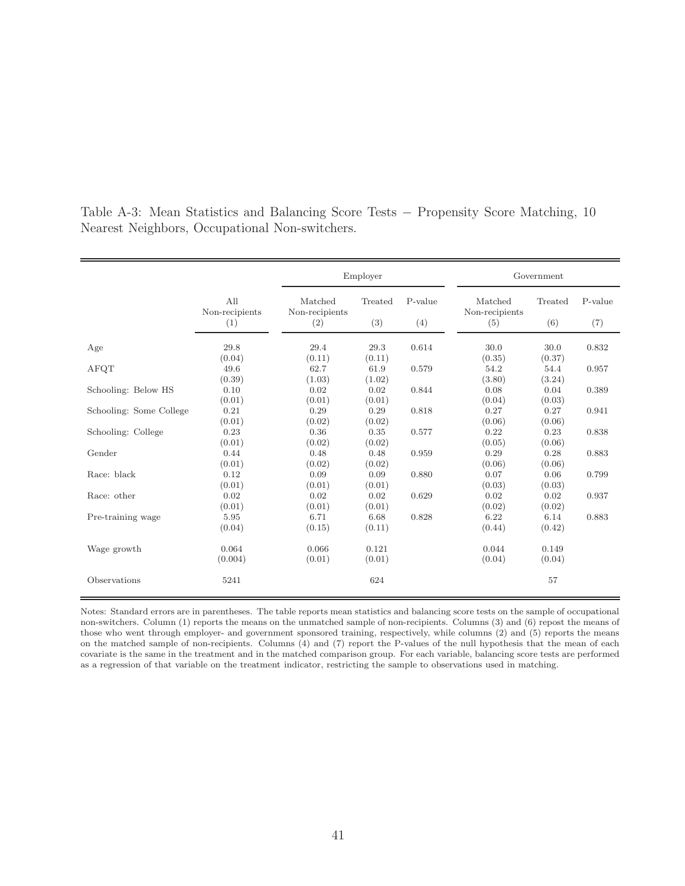|                         |                       | Employer                  |                 |         | Government                |                 |         |  |
|-------------------------|-----------------------|---------------------------|-----------------|---------|---------------------------|-----------------|---------|--|
|                         | All<br>Non-recipients | Matched<br>Non-recipients | Treated         | P-value | Matched<br>Non-recipients | Treated         | P-value |  |
|                         | (1)                   | (2)                       | (3)             | (4)     | (5)                       | (6)             | (7)     |  |
| Age                     | 29.8<br>(0.04)        | 29.4<br>(0.11)            | 29.3<br>(0.11)  | 0.614   | 30.0<br>(0.35)            | 30.0<br>(0.37)  | 0.832   |  |
| AFQT                    | 49.6<br>(0.39)        | 62.7<br>(1.03)            | 61.9<br>(1.02)  | 0.579   | 54.2<br>(3.80)            | 54.4<br>(3.24)  | 0.957   |  |
| Schooling: Below HS     | 0.10<br>(0.01)        | 0.02<br>(0.01)            | 0.02<br>(0.01)  | 0.844   | 0.08<br>(0.04)            | 0.04<br>(0.03)  | 0.389   |  |
| Schooling: Some College | 0.21<br>(0.01)        | 0.29<br>(0.02)            | 0.29<br>(0.02)  | 0.818   | 0.27<br>(0.06)            | 0.27<br>(0.06)  | 0.941   |  |
| Schooling: College      | 0.23<br>(0.01)        | 0.36<br>(0.02)            | 0.35<br>(0.02)  | 0.577   | 0.22<br>(0.05)            | 0.23<br>(0.06)  | 0.838   |  |
| Gender                  | 0.44<br>(0.01)        | 0.48<br>(0.02)            | 0.48<br>(0.02)  | 0.959   | 0.29<br>(0.06)            | 0.28<br>(0.06)  | 0.883   |  |
| Race: black             | 0.12<br>(0.01)        | 0.09<br>(0.01)            | 0.09<br>(0.01)  | 0.880   | 0.07<br>(0.03)            | 0.06<br>(0.03)  | 0.799   |  |
| Race: other             | 0.02<br>(0.01)        | 0.02<br>(0.01)            | 0.02<br>(0.01)  | 0.629   | 0.02<br>(0.02)            | 0.02<br>(0.02)  | 0.937   |  |
| Pre-training wage       | 5.95<br>(0.04)        | 6.71<br>(0.15)            | 6.68<br>(0.11)  | 0.828   | 6.22<br>(0.44)            | 6.14<br>(0.42)  | 0.883   |  |
| Wage growth             | 0.064<br>(0.004)      | 0.066<br>(0.01)           | 0.121<br>(0.01) |         | 0.044<br>(0.04)           | 0.149<br>(0.04) |         |  |
| Observations            | 5241                  |                           | 624             |         |                           | 57              |         |  |

Table A-3: Mean Statistics and Balancing Score Tests − Propensity Score Matching, 10 Nearest Neighbors, Occupational Non-switchers.

Notes: Standard errors are in parentheses. The table reports mean statistics and balancing score tests on the sample of occupational non-switchers. Column (1) reports the means on the unmatched sample of non-recipients. Columns (3) and (6) repost the means of those who went through employer- and government sponsored training, respectively, while columns (2) and (5) reports the means on the matched sample of non-recipients. Columns (4) and (7) report the P-values of the null hypothesis that the mean of each covariate is the same in the treatment and in the matched comparison group. For each variable, balancing score tests are performed as a regression of that variable on the treatment indicator, restricting the sample to observations used in matching.